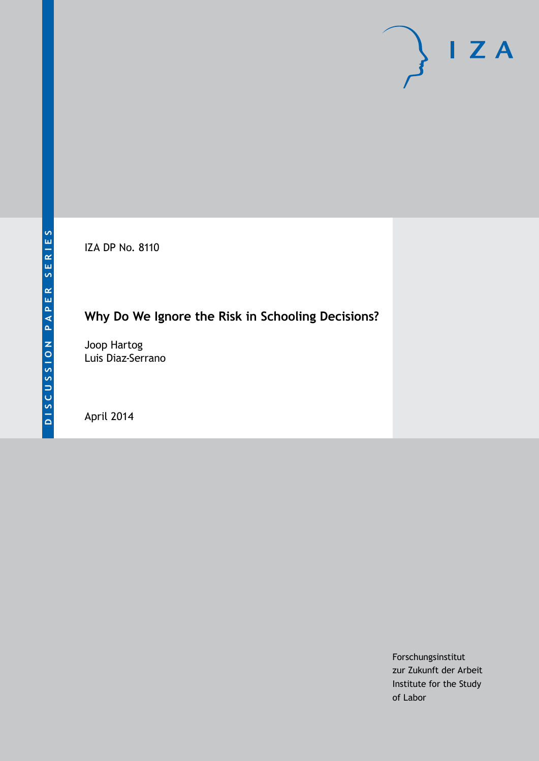IZA DP No. 8110

# **Why Do We Ignore the Risk in Schooling Decisions?**

Joop Hartog Luis Diaz-Serrano

April 2014

Forschungsinstitut zur Zukunft der Arbeit Institute for the Study of Labor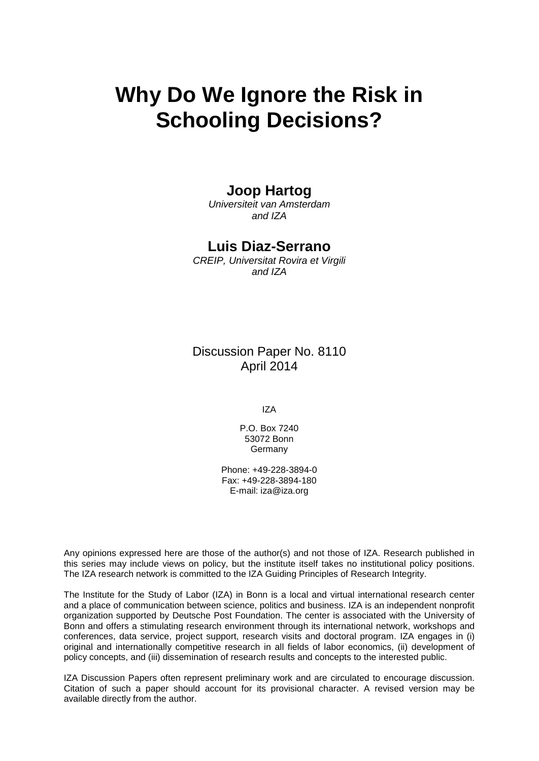# **Why Do We Ignore the Risk in Schooling Decisions?**

### **Joop Hartog**

*Universiteit van Amsterdam and IZA*

### **Luis Diaz-Serrano**

*CREIP, Universitat Rovira et Virgili and IZA*

Discussion Paper No. 8110 April 2014

IZA

P.O. Box 7240 53072 Bonn **Germany** 

Phone: +49-228-3894-0 Fax: +49-228-3894-180 E-mail: [iza@iza.org](mailto:iza@iza.org)

Any opinions expressed here are those of the author(s) and not those of IZA. Research published in this series may include views on policy, but the institute itself takes no institutional policy positions. The IZA research network is committed to the IZA Guiding Principles of Research Integrity.

The Institute for the Study of Labor (IZA) in Bonn is a local and virtual international research center and a place of communication between science, politics and business. IZA is an independent nonprofit organization supported by Deutsche Post Foundation. The center is associated with the University of Bonn and offers a stimulating research environment through its international network, workshops and conferences, data service, project support, research visits and doctoral program. IZA engages in (i) original and internationally competitive research in all fields of labor economics, (ii) development of policy concepts, and (iii) dissemination of research results and concepts to the interested public.

<span id="page-1-0"></span>IZA Discussion Papers often represent preliminary work and are circulated to encourage discussion. Citation of such a paper should account for its provisional character. A revised version may be available directly from the author.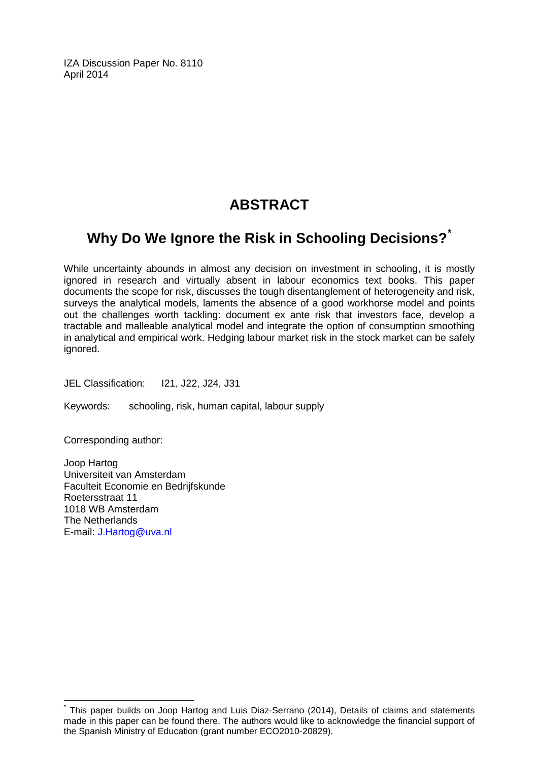IZA Discussion Paper No. 8110 April 2014

## **ABSTRACT**

# **Why Do We Ignore the Risk in Schooling Decisions?[\\*](#page-1-0)**

While uncertainty abounds in almost any decision on investment in schooling, it is mostly ignored in research and virtually absent in labour economics text books. This paper documents the scope for risk, discusses the tough disentanglement of heterogeneity and risk, surveys the analytical models, laments the absence of a good workhorse model and points out the challenges worth tackling: document ex ante risk that investors face, develop a tractable and malleable analytical model and integrate the option of consumption smoothing in analytical and empirical work. Hedging labour market risk in the stock market can be safely ignored.

JEL Classification: I21, J22, J24, J31

Keywords: schooling, risk, human capital, labour supply

Corresponding author:

Joop Hartog Universiteit van Amsterdam Faculteit Economie en Bedrijfskunde Roetersstraat 11 1018 WB Amsterdam The Netherlands E-mail: [J.Hartog@uva.nl](mailto:J.Hartog@uva.nl)

This paper builds on Joop Hartog and Luis Diaz-Serrano (2014), Details of claims and statements made in this paper can be found there. The authors would like to acknowledge the financial support of the Spanish Ministry of Education (grant number ECO2010-20829).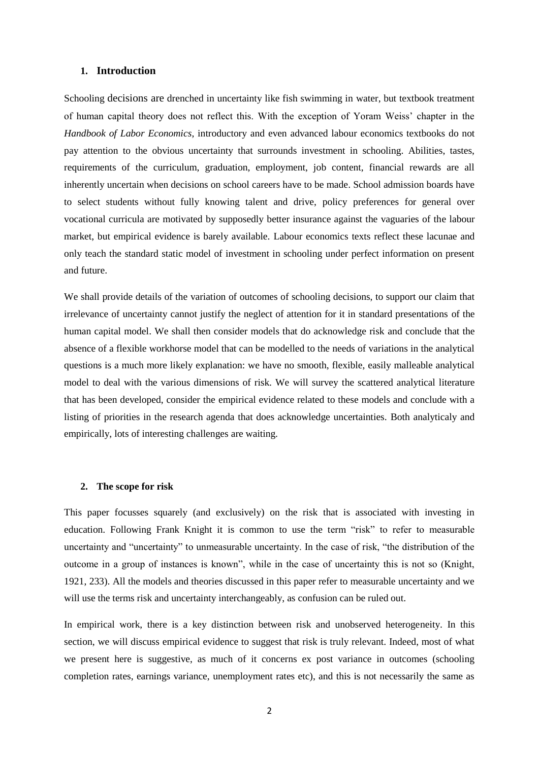#### **1. Introduction**

Schooling decisions are drenched in uncertainty like fish swimming in water, but textbook treatment of human capital theory does not reflect this. With the exception of Yoram Weiss' chapter in the *Handbook of Labor Economics*, introductory and even advanced labour economics textbooks do not pay attention to the obvious uncertainty that surrounds investment in schooling. Abilities, tastes, requirements of the curriculum, graduation, employment, job content, financial rewards are all inherently uncertain when decisions on school careers have to be made. School admission boards have to select students without fully knowing talent and drive, policy preferences for general over vocational curricula are motivated by supposedly better insurance against the vaguaries of the labour market, but empirical evidence is barely available. Labour economics texts reflect these lacunae and only teach the standard static model of investment in schooling under perfect information on present and future.

We shall provide details of the variation of outcomes of schooling decisions, to support our claim that irrelevance of uncertainty cannot justify the neglect of attention for it in standard presentations of the human capital model. We shall then consider models that do acknowledge risk and conclude that the absence of a flexible workhorse model that can be modelled to the needs of variations in the analytical questions is a much more likely explanation: we have no smooth, flexible, easily malleable analytical model to deal with the various dimensions of risk. We will survey the scattered analytical literature that has been developed, consider the empirical evidence related to these models and conclude with a listing of priorities in the research agenda that does acknowledge uncertainties. Both analyticaly and empirically, lots of interesting challenges are waiting.

#### **2. The scope for risk**

This paper focusses squarely (and exclusively) on the risk that is associated with investing in education. Following Frank Knight it is common to use the term "risk" to refer to measurable uncertainty and "uncertainty" to unmeasurable uncertainty. In the case of risk, "the distribution of the outcome in a group of instances is known", while in the case of uncertainty this is not so (Knight, 1921, 233). All the models and theories discussed in this paper refer to measurable uncertainty and we will use the terms risk and uncertainty interchangeably, as confusion can be ruled out.

In empirical work, there is a key distinction between risk and unobserved heterogeneity. In this section, we will discuss empirical evidence to suggest that risk is truly relevant. Indeed, most of what we present here is suggestive, as much of it concerns ex post variance in outcomes (schooling completion rates, earnings variance, unemployment rates etc), and this is not necessarily the same as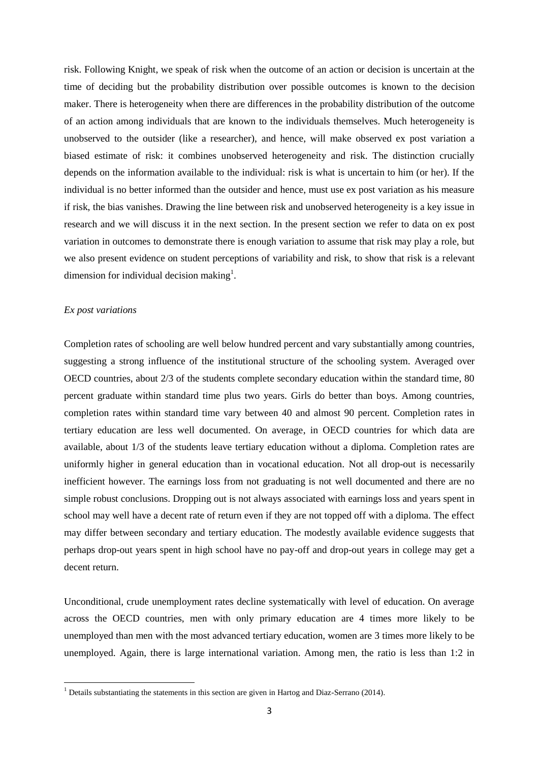risk. Following Knight, we speak of risk when the outcome of an action or decision is uncertain at the time of deciding but the probability distribution over possible outcomes is known to the decision maker. There is heterogeneity when there are differences in the probability distribution of the outcome of an action among individuals that are known to the individuals themselves. Much heterogeneity is unobserved to the outsider (like a researcher), and hence, will make observed ex post variation a biased estimate of risk: it combines unobserved heterogeneity and risk. The distinction crucially depends on the information available to the individual: risk is what is uncertain to him (or her). If the individual is no better informed than the outsider and hence, must use ex post variation as his measure if risk, the bias vanishes. Drawing the line between risk and unobserved heterogeneity is a key issue in research and we will discuss it in the next section. In the present section we refer to data on ex post variation in outcomes to demonstrate there is enough variation to assume that risk may play a role, but we also present evidence on student perceptions of variability and risk, to show that risk is a relevant dimension for individual decision making<sup>1</sup>.

#### *Ex post variations*

**.** 

Completion rates of schooling are well below hundred percent and vary substantially among countries, suggesting a strong influence of the institutional structure of the schooling system. Averaged over OECD countries, about 2/3 of the students complete secondary education within the standard time, 80 percent graduate within standard time plus two years. Girls do better than boys. Among countries, completion rates within standard time vary between 40 and almost 90 percent. Completion rates in tertiary education are less well documented. On average, in OECD countries for which data are available, about 1/3 of the students leave tertiary education without a diploma. Completion rates are uniformly higher in general education than in vocational education. Not all drop-out is necessarily inefficient however. The earnings loss from not graduating is not well documented and there are no simple robust conclusions. Dropping out is not always associated with earnings loss and years spent in school may well have a decent rate of return even if they are not topped off with a diploma. The effect may differ between secondary and tertiary education. The modestly available evidence suggests that perhaps drop-out years spent in high school have no pay-off and drop-out years in college may get a decent return.

Unconditional, crude unemployment rates decline systematically with level of education. On average across the OECD countries, men with only primary education are 4 times more likely to be unemployed than men with the most advanced tertiary education, women are 3 times more likely to be unemployed. Again, there is large international variation. Among men, the ratio is less than 1:2 in

 $1$  Details substantiating the statements in this section are given in Hartog and Diaz-Serrano (2014).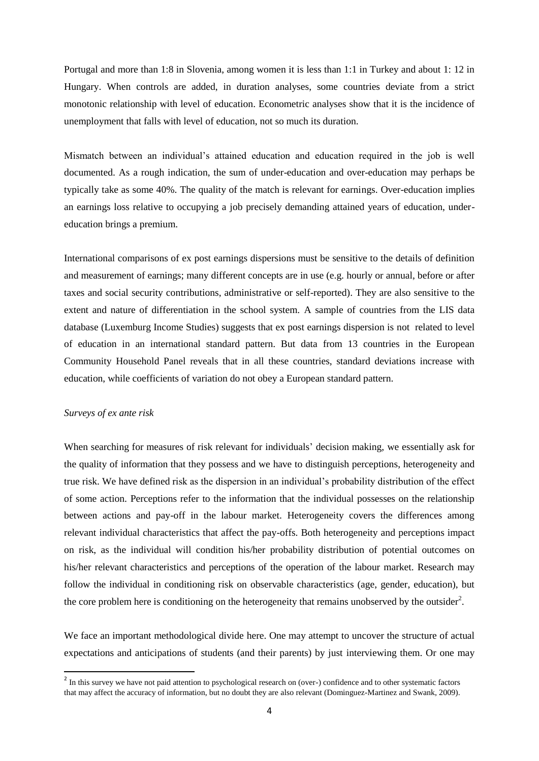Portugal and more than 1:8 in Slovenia, among women it is less than 1:1 in Turkey and about 1: 12 in Hungary. When controls are added, in duration analyses, some countries deviate from a strict monotonic relationship with level of education. Econometric analyses show that it is the incidence of unemployment that falls with level of education, not so much its duration.

Mismatch between an individual's attained education and education required in the job is well documented. As a rough indication, the sum of under-education and over-education may perhaps be typically take as some 40%. The quality of the match is relevant for earnings. Over-education implies an earnings loss relative to occupying a job precisely demanding attained years of education, undereducation brings a premium.

International comparisons of ex post earnings dispersions must be sensitive to the details of definition and measurement of earnings; many different concepts are in use (e.g. hourly or annual, before or after taxes and social security contributions, administrative or self-reported). They are also sensitive to the extent and nature of differentiation in the school system. A sample of countries from the LIS data database (Luxemburg Income Studies) suggests that ex post earnings dispersion is not related to level of education in an international standard pattern. But data from 13 countries in the European Community Household Panel reveals that in all these countries, standard deviations increase with education, while coefficients of variation do not obey a European standard pattern.

#### *Surveys of ex ante risk*

When searching for measures of risk relevant for individuals' decision making, we essentially ask for the quality of information that they possess and we have to distinguish perceptions, heterogeneity and true risk. We have defined risk as the dispersion in an individual's probability distribution of the effect of some action. Perceptions refer to the information that the individual possesses on the relationship between actions and pay-off in the labour market. Heterogeneity covers the differences among relevant individual characteristics that affect the pay-offs. Both heterogeneity and perceptions impact on risk, as the individual will condition his/her probability distribution of potential outcomes on his/her relevant characteristics and perceptions of the operation of the labour market. Research may follow the individual in conditioning risk on observable characteristics (age, gender, education), but the core problem here is conditioning on the heterogeneity that remains unobserved by the outsider<sup>2</sup>.

We face an important methodological divide here. One may attempt to uncover the structure of actual expectations and anticipations of students (and their parents) by just interviewing them. Or one may

The survey we have not paid attention to psychological research on (over-) confidence and to other systematic factors that may affect the accuracy of information, but no doubt they are also relevant (Dominguez-Martinez and Swank, 2009).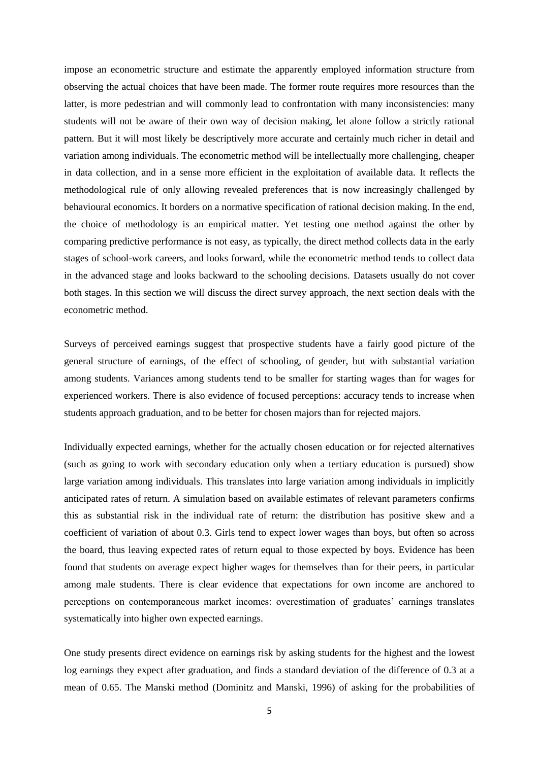impose an econometric structure and estimate the apparently employed information structure from observing the actual choices that have been made. The former route requires more resources than the latter, is more pedestrian and will commonly lead to confrontation with many inconsistencies: many students will not be aware of their own way of decision making, let alone follow a strictly rational pattern. But it will most likely be descriptively more accurate and certainly much richer in detail and variation among individuals. The econometric method will be intellectually more challenging, cheaper in data collection, and in a sense more efficient in the exploitation of available data. It reflects the methodological rule of only allowing revealed preferences that is now increasingly challenged by behavioural economics. It borders on a normative specification of rational decision making. In the end, the choice of methodology is an empirical matter. Yet testing one method against the other by comparing predictive performance is not easy, as typically, the direct method collects data in the early stages of school-work careers, and looks forward, while the econometric method tends to collect data in the advanced stage and looks backward to the schooling decisions. Datasets usually do not cover both stages. In this section we will discuss the direct survey approach, the next section deals with the econometric method.

Surveys of perceived earnings suggest that prospective students have a fairly good picture of the general structure of earnings, of the effect of schooling, of gender, but with substantial variation among students. Variances among students tend to be smaller for starting wages than for wages for experienced workers. There is also evidence of focused perceptions: accuracy tends to increase when students approach graduation, and to be better for chosen majors than for rejected majors.

Individually expected earnings, whether for the actually chosen education or for rejected alternatives (such as going to work with secondary education only when a tertiary education is pursued) show large variation among individuals. This translates into large variation among individuals in implicitly anticipated rates of return. A simulation based on available estimates of relevant parameters confirms this as substantial risk in the individual rate of return: the distribution has positive skew and a coefficient of variation of about 0.3. Girls tend to expect lower wages than boys, but often so across the board, thus leaving expected rates of return equal to those expected by boys. Evidence has been found that students on average expect higher wages for themselves than for their peers, in particular among male students. There is clear evidence that expectations for own income are anchored to perceptions on contemporaneous market incomes: overestimation of graduates' earnings translates systematically into higher own expected earnings.

One study presents direct evidence on earnings risk by asking students for the highest and the lowest log earnings they expect after graduation, and finds a standard deviation of the difference of 0.3 at a mean of 0.65. The Manski method (Dominitz and Manski, 1996) of asking for the probabilities of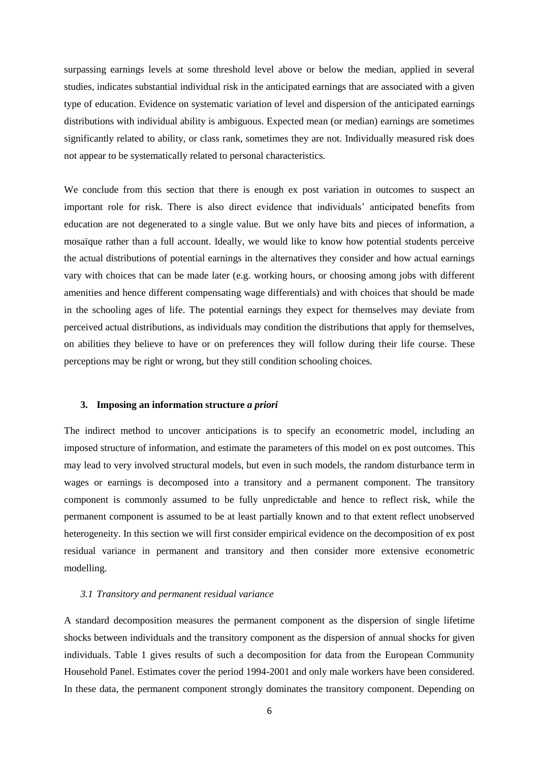surpassing earnings levels at some threshold level above or below the median, applied in several studies, indicates substantial individual risk in the anticipated earnings that are associated with a given type of education. Evidence on systematic variation of level and dispersion of the anticipated earnings distributions with individual ability is ambiguous. Expected mean (or median) earnings are sometimes significantly related to ability, or class rank, sometimes they are not. Individually measured risk does not appear to be systematically related to personal characteristics.

We conclude from this section that there is enough ex post variation in outcomes to suspect an important role for risk. There is also direct evidence that individuals' anticipated benefits from education are not degenerated to a single value. But we only have bits and pieces of information, a mosaïque rather than a full account. Ideally, we would like to know how potential students perceive the actual distributions of potential earnings in the alternatives they consider and how actual earnings vary with choices that can be made later (e.g. working hours, or choosing among jobs with different amenities and hence different compensating wage differentials) and with choices that should be made in the schooling ages of life. The potential earnings they expect for themselves may deviate from perceived actual distributions, as individuals may condition the distributions that apply for themselves, on abilities they believe to have or on preferences they will follow during their life course. These perceptions may be right or wrong, but they still condition schooling choices.

#### **3. Imposing an information structure** *a priori*

The indirect method to uncover anticipations is to specify an econometric model, including an imposed structure of information, and estimate the parameters of this model on ex post outcomes. This may lead to very involved structural models, but even in such models, the random disturbance term in wages or earnings is decomposed into a transitory and a permanent component. The transitory component is commonly assumed to be fully unpredictable and hence to reflect risk, while the permanent component is assumed to be at least partially known and to that extent reflect unobserved heterogeneity. In this section we will first consider empirical evidence on the decomposition of ex post residual variance in permanent and transitory and then consider more extensive econometric modelling.

#### *3.1 Transitory and permanent residual variance*

A standard decomposition measures the permanent component as the dispersion of single lifetime shocks between individuals and the transitory component as the dispersion of annual shocks for given individuals. Table 1 gives results of such a decomposition for data from the European Community Household Panel. Estimates cover the period 1994-2001 and only male workers have been considered. In these data, the permanent component strongly dominates the transitory component. Depending on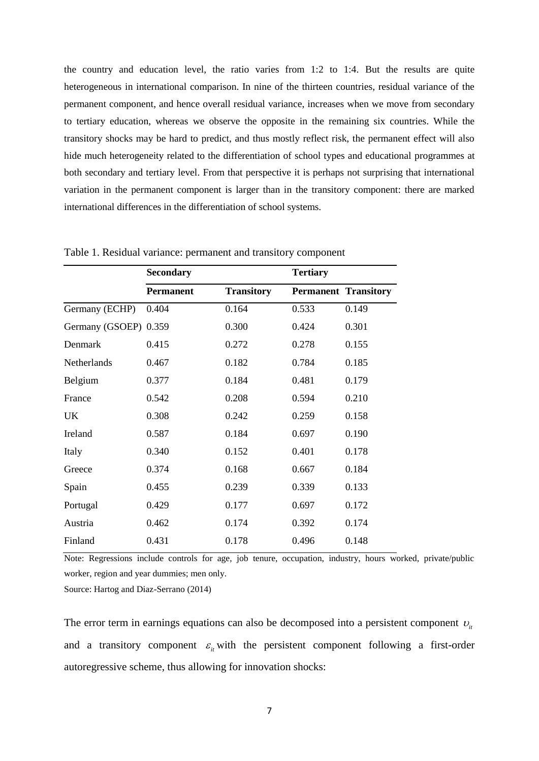the country and education level, the ratio varies from 1:2 to 1:4. But the results are quite heterogeneous in international comparison. In nine of the thirteen countries, residual variance of the permanent component, and hence overall residual variance, increases when we move from secondary to tertiary education, whereas we observe the opposite in the remaining six countries. While the transitory shocks may be hard to predict, and thus mostly reflect risk, the permanent effect will also hide much heterogeneity related to the differentiation of school types and educational programmes at both secondary and tertiary level. From that perspective it is perhaps not surprising that international variation in the permanent component is larger than in the transitory component: there are marked international differences in the differentiation of school systems.

|                       | <b>Secondary</b> |                   | <b>Tertiary</b> |                             |
|-----------------------|------------------|-------------------|-----------------|-----------------------------|
|                       | <b>Permanent</b> | <b>Transitory</b> |                 | <b>Permanent Transitory</b> |
| Germany (ECHP)        | 0.404            | 0.164             | 0.533           | 0.149                       |
| Germany (GSOEP) 0.359 |                  | 0.300             | 0.424           | 0.301                       |
| Denmark               | 0.415            | 0.272             | 0.278           | 0.155                       |
| Netherlands           | 0.467            | 0.182             | 0.784           | 0.185                       |
| Belgium               | 0.377            | 0.184             | 0.481           | 0.179                       |
| France                | 0.542            | 0.208             | 0.594           | 0.210                       |
| UK                    | 0.308            | 0.242             | 0.259           | 0.158                       |
| Ireland               | 0.587            | 0.184             | 0.697           | 0.190                       |
| Italy                 | 0.340            | 0.152             | 0.401           | 0.178                       |
| Greece                | 0.374            | 0.168             | 0.667           | 0.184                       |
| Spain                 | 0.455            | 0.239             | 0.339           | 0.133                       |
| Portugal              | 0.429            | 0.177             | 0.697           | 0.172                       |
| Austria               | 0.462            | 0.174             | 0.392           | 0.174                       |
| Finland               | 0.431            | 0.178             | 0.496           | 0.148                       |

Table 1. Residual variance: permanent and transitory component

Note: Regressions include controls for age, job tenure, occupation, industry, hours worked, private/public worker, region and year dummies; men only.

Source: Hartog and Diaz-Serrano (2014)

The error term in earnings equations can also be decomposed into a persistent component  $v_{i}$ and a transitory component  $\varepsilon$ <sub>*i*</sub> with the persistent component following a first-order autoregressive scheme, thus allowing for innovation shocks: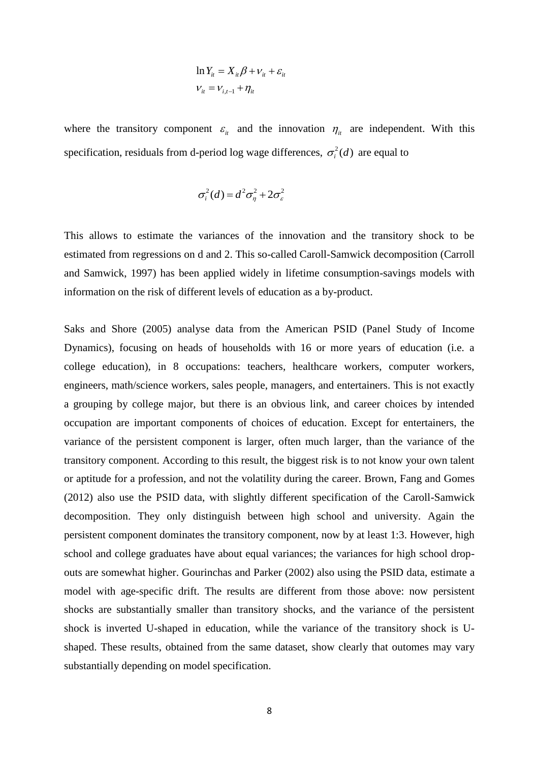$$
\ln Y_{it} = X_{it} \beta + V_{it} + \varepsilon_{it}
$$
  

$$
V_{it} = V_{i,t-1} + \eta_{it}
$$

where the transitory component  $\varepsilon_{it}$  and the innovation  $\eta_{it}$  are independent. With this specification, residuals from d-period log wage differences,  $\sigma_i^2(d)$  are equal to

$$
\sigma_i^2(d) = d^2 \sigma_\eta^2 + 2 \sigma_\varepsilon^2
$$

This allows to estimate the variances of the innovation and the transitory shock to be estimated from regressions on d and 2. This so-called Caroll-Samwick decomposition (Carroll and Samwick, 1997) has been applied widely in lifetime consumption-savings models with information on the risk of different levels of education as a by-product.

Saks and Shore (2005) analyse data from the American PSID (Panel Study of Income Dynamics), focusing on heads of households with 16 or more years of education (i.e. a college education), in 8 occupations: teachers, healthcare workers, computer workers, engineers, math/science workers, sales people, managers, and entertainers. This is not exactly a grouping by college major, but there is an obvious link, and career choices by intended occupation are important components of choices of education. Except for entertainers, the variance of the persistent component is larger, often much larger, than the variance of the transitory component. According to this result, the biggest risk is to not know your own talent or aptitude for a profession, and not the volatility during the career. Brown, Fang and Gomes (2012) also use the PSID data, with slightly different specification of the Caroll-Samwick decomposition. They only distinguish between high school and university. Again the persistent component dominates the transitory component, now by at least 1:3. However, high school and college graduates have about equal variances; the variances for high school dropouts are somewhat higher. Gourinchas and Parker (2002) also using the PSID data, estimate a model with age-specific drift. The results are different from those above: now persistent shocks are substantially smaller than transitory shocks, and the variance of the persistent shock is inverted U-shaped in education, while the variance of the transitory shock is Ushaped. These results, obtained from the same dataset, show clearly that outomes may vary substantially depending on model specification.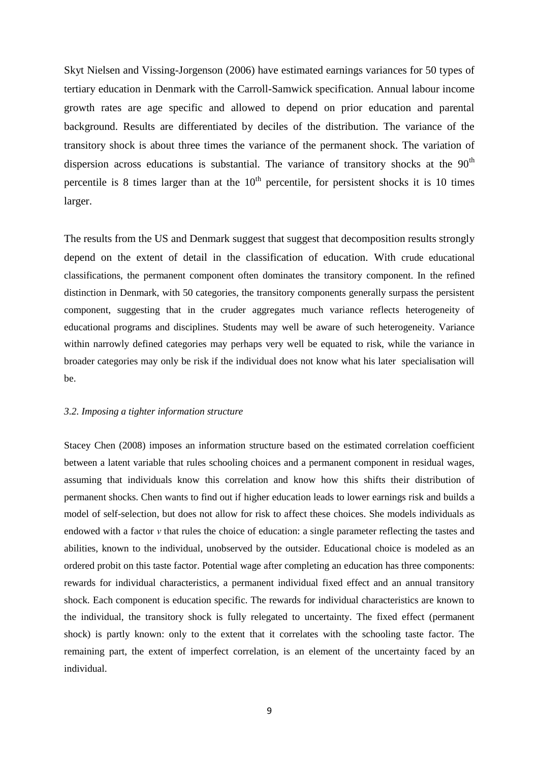Skyt Nielsen and Vissing-Jorgenson (2006) have estimated earnings variances for 50 types of tertiary education in Denmark with the Carroll-Samwick specification. Annual labour income growth rates are age specific and allowed to depend on prior education and parental background. Results are differentiated by deciles of the distribution. The variance of the transitory shock is about three times the variance of the permanent shock. The variation of dispersion across educations is substantial. The variance of transitory shocks at the  $90<sup>th</sup>$ percentile is 8 times larger than at the  $10<sup>th</sup>$  percentile, for persistent shocks it is 10 times larger.

The results from the US and Denmark suggest that suggest that decomposition results strongly depend on the extent of detail in the classification of education. With crude educational classifications, the permanent component often dominates the transitory component. In the refined distinction in Denmark, with 50 categories, the transitory components generally surpass the persistent component, suggesting that in the cruder aggregates much variance reflects heterogeneity of educational programs and disciplines. Students may well be aware of such heterogeneity. Variance within narrowly defined categories may perhaps very well be equated to risk, while the variance in broader categories may only be risk if the individual does not know what his later specialisation will be.

#### *3.2. Imposing a tighter information structure*

Stacey Chen (2008) imposes an information structure based on the estimated correlation coefficient between a latent variable that rules schooling choices and a permanent component in residual wages, assuming that individuals know this correlation and know how this shifts their distribution of permanent shocks. Chen wants to find out if higher education leads to lower earnings risk and builds a model of self-selection, but does not allow for risk to affect these choices. She models individuals as endowed with a factor *ν* that rules the choice of education: a single parameter reflecting the tastes and abilities, known to the individual, unobserved by the outsider. Educational choice is modeled as an ordered probit on this taste factor. Potential wage after completing an education has three components: rewards for individual characteristics, a permanent individual fixed effect and an annual transitory shock. Each component is education specific. The rewards for individual characteristics are known to the individual, the transitory shock is fully relegated to uncertainty. The fixed effect (permanent shock) is partly known: only to the extent that it correlates with the schooling taste factor. The remaining part, the extent of imperfect correlation, is an element of the uncertainty faced by an individual.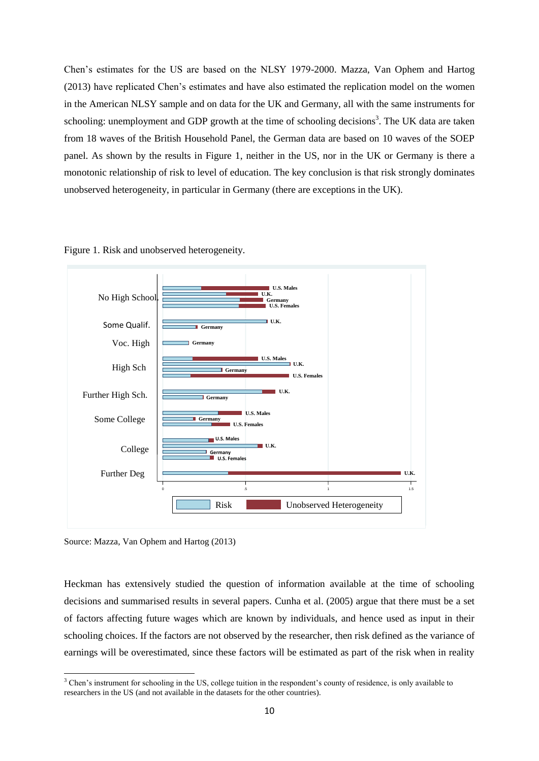Chen's estimates for the US are based on the NLSY 1979-2000. Mazza, Van Ophem and Hartog (2013) have replicated Chen's estimates and have also estimated the replication model on the women in the American NLSY sample and on data for the UK and Germany, all with the same instruments for schooling: unemployment and GDP growth at the time of schooling decisions<sup>3</sup>. The UK data are taken from 18 waves of the British Household Panel, the German data are based on 10 waves of the SOEP panel. As shown by the results in Figure 1, neither in the US, nor in the UK or Germany is there a monotonic relationship of risk to level of education. The key conclusion is that risk strongly dominates unobserved heterogeneity, in particular in Germany (there are exceptions in the UK).





Source: Mazza, Van Ophem and Hartog (2013)

1

Heckman has extensively studied the question of information available at the time of schooling decisions and summarised results in several papers. Cunha et al. (2005) argue that there must be a set of factors affecting future wages which are known by individuals, and hence used as input in their schooling choices. If the factors are not observed by the researcher, then risk defined as the variance of earnings will be overestimated, since these factors will be estimated as part of the risk when in reality

<sup>&</sup>lt;sup>3</sup> Chen's instrument for schooling in the US, college tuition in the respondent's county of residence, is only available to researchers in the US (and not available in the datasets for the other countries).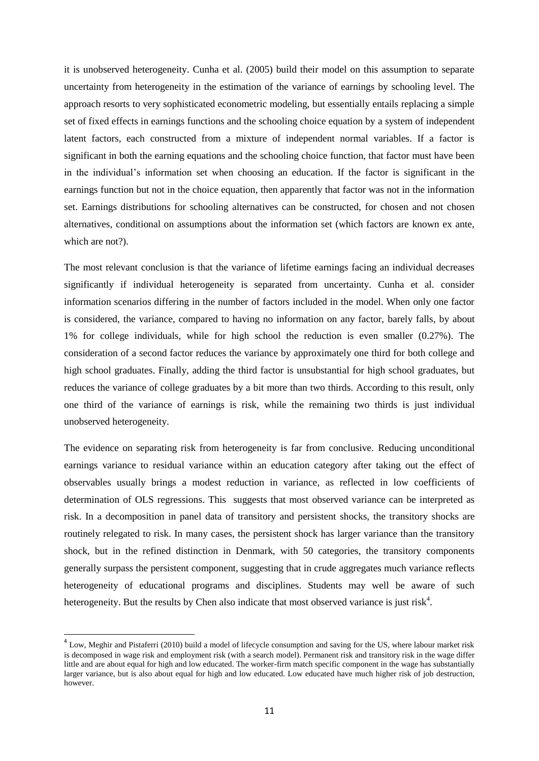it is unobserved heterogeneity. Cunha et al. (2005) build their model on this assumption to separate uncertainty from heterogeneity in the estimation of the variance of earnings by schooling level. The approach resorts to very sophisticated econometric modeling, but essentially entails replacing a simple set of fixed effects in earnings functions and the schooling choice equation by a system of independent latent factors, each constructed from a mixture of independent normal variables. If a factor is significant in both the earning equations and the schooling choice function, that factor must have been in the individual's information set when choosing an education. If the factor is significant in the earnings function but not in the choice equation, then apparently that factor was not in the information set. Earnings distributions for schooling alternatives can be constructed, for chosen and not chosen alternatives, conditional on assumptions about the information set (which factors are known ex ante, which are not?).

The most relevant conclusion is that the variance of lifetime earnings facing an individual decreases significantly if individual heterogeneity is separated from uncertainty. Cunha et al. consider information scenarios differing in the number of factors included in the model. When only one factor is considered, the variance, compared to having no information on any factor, barely falls, by about 1% for college individuals, while for high school the reduction is even smaller (0.27%). The consideration of a second factor reduces the variance by approximately one third for both college and high school graduates. Finally, adding the third factor is unsubstantial for high school graduates, but reduces the variance of college graduates by a bit more than two thirds. According to this result, only one third of the variance of earnings is risk, while the remaining two thirds is just individual unobserved heterogeneity.

The evidence on separating risk from heterogeneity is far from conclusive. Reducing unconditional earnings variance to residual variance within an education category after taking out the effect of observables usually brings a modest reduction in variance, as reflected in low coefficients of determination of OLS regressions. This suggests that most observed variance can be interpreted as risk. In a decomposition in panel data of transitory and persistent shocks, the transitory shocks are routinely relegated to risk. In many cases, the persistent shock has larger variance than the transitory shock, but in the refined distinction in Denmark, with 50 categories, the transitory components generally surpass the persistent component, suggesting that in crude aggregates much variance reflects heterogeneity of educational programs and disciplines. Students may well be aware of such heterogeneity. But the results by Chen also indicate that most observed variance is just risk<sup>4</sup>.

 4 Low, Meghir and Pistaferri (2010) build a model of lifecycle consumption and saving for the US, where labour market risk is decomposed in wage risk and employment risk (with a search model). Permanent risk and transitory risk in the wage differ little and are about equal for high and low educated. The worker-firm match specific component in the wage has substantially larger variance, but is also about equal for high and low educated. Low educated have much higher risk of job destruction, however.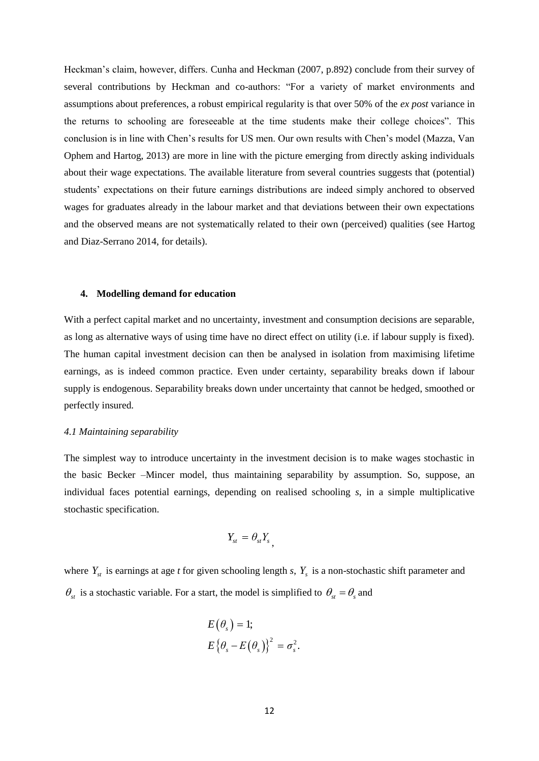Heckman's claim, however, differs. Cunha and Heckman (2007, p.892) conclude from their survey of several contributions by Heckman and co-authors: "For a variety of market environments and assumptions about preferences, a robust empirical regularity is that over 50% of the *ex post* variance in the returns to schooling are foreseeable at the time students make their college choices". This conclusion is in line with Chen's results for US men. Our own results with Chen's model (Mazza, Van Ophem and Hartog, 2013) are more in line with the picture emerging from directly asking individuals about their wage expectations. The available literature from several countries suggests that (potential) students' expectations on their future earnings distributions are indeed simply anchored to observed wages for graduates already in the labour market and that deviations between their own expectations and the observed means are not systematically related to their own (perceived) qualities (see Hartog and Diaz-Serrano 2014, for details).

#### **4. Modelling demand for education**

With a perfect capital market and no uncertainty, investment and consumption decisions are separable, as long as alternative ways of using time have no direct effect on utility (i.e. if labour supply is fixed). The human capital investment decision can then be analysed in isolation from maximising lifetime earnings, as is indeed common practice. Even under certainty, separability breaks down if labour supply is endogenous. Separability breaks down under uncertainty that cannot be hedged, smoothed or perfectly insured.

#### *4.1 Maintaining separability*

The simplest way to introduce uncertainty in the investment decision is to make wages stochastic in the basic Becker –Mincer model, thus maintaining separability by assumption. So, suppose, an individual faces potential earnings, depending on realised schooling *s*, in a simple multiplicative stochastic specification.

$$
Y_{st} = \theta_{st} Y_s
$$

where  $Y_{st}$  is earnings at age *t* for given schooling length *s*,  $Y_s$  is a non-stochastic shift parameter and  $\theta_{st}$  is a stochastic variable. For a start, the model is simplified to  $\theta_{st} = \theta_{st}$  and

$$
E(\theta_s) = 1;
$$
  

$$
E(\theta_s - E(\theta_s))^2 = \sigma_s^2.
$$

.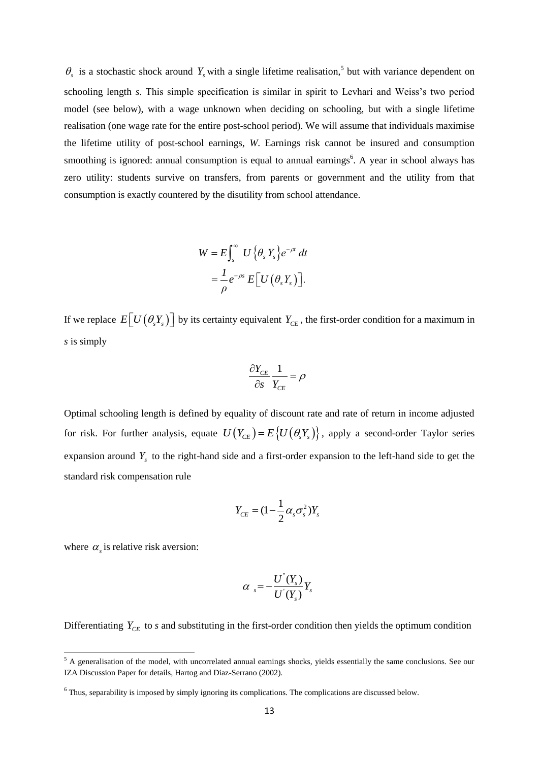$\theta_s$  is a stochastic shock around Y, with a single life<br>schooling length s. This simple specification is sin<br>model (see below), with a wage unknown when d<br>realisation (one wage rate for the entire post-school)<br>the lifeti is a stochastic shock around  $Y_s$  with a single lifetime realisation,<sup>5</sup> but with variance dependent on schooling length *s*. This simple specification is similar in spirit to Levhari and Weiss's two period model (see below), with a wage unknown when deciding on schooling, but with a single lifetime realisation (one wage rate for the entire post-school period). We will assume that individuals maximise the lifetime utility of post-school earnings, *W*. Earnings risk cannot be insured and consumption smoothing is ignored: annual consumption is equal to annual earnings<sup>6</sup>. A year in school always has zero utility: students survive on transfers, from parents or government and the utility from that consumption is exactly countered by the disutility from school attendance.

$$
W = E \int_{s}^{\infty} U \{ \theta_{s} Y_{s} \} e^{-\rho t} dt
$$
  
=  $\frac{1}{\rho} e^{-\rho s} E [U (\theta_{s} Y_{s})].$ 

If we replace  $E[U(\theta_i Y_s)]$  by its certainty equivalent  $Y_{CE}$ , the first-order condition for a maximum in *s* is simply

$$
\frac{\partial Y_{CE}}{\partial s} \frac{1}{Y_{CE}} = \rho
$$

Optimal schooling length is defined by equality of discount rate and rate of return in income adjusted for risk. For further analysis, equate  $U(Y_{CE}) = E\{U(\theta_s Y_s)\}\,$ , apply a second-order Taylor series expansion around  $Y<sub>s</sub>$  to the right-hand side and a first-order expansion to the left-hand side to get the standard risk compensation rule

$$
Y_{CE} = (1 - \frac{1}{2} \alpha_s \sigma_s^2) Y_s
$$

where  $\alpha_s$  is relative risk aversion:

**.** 

$$
\alpha_s = -\frac{U^{(r)}(Y_s)}{U^{(r)}(Y_s)}Y_s
$$

Differentiating  $Y_{CE}$  to *s* and substituting in the first-order condition then yields the optimum condition

<sup>&</sup>lt;sup>5</sup> A generalisation of the model, with uncorrelated annual earnings shocks, yields essentially the same conclusions. See our IZA Discussion Paper for details, Hartog and Diaz-Serrano (2002).

<sup>6</sup> Thus, separability is imposed by simply ignoring its complications. The complications are discussed below.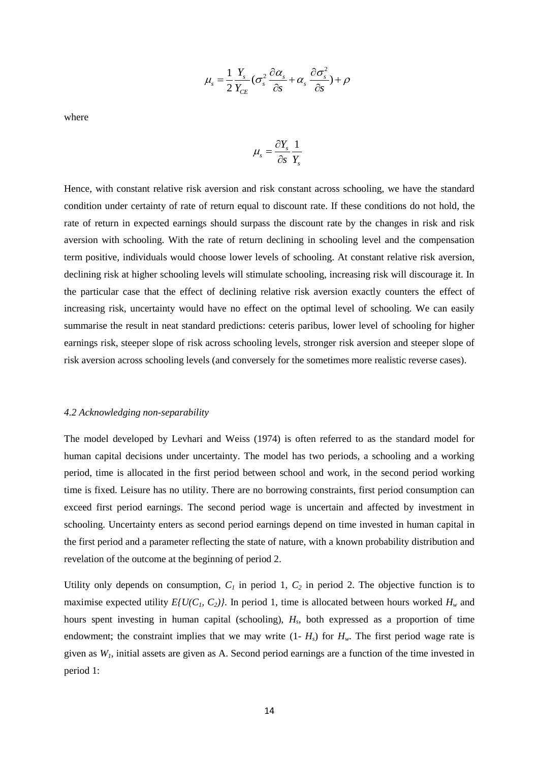$$
\mu_s = \frac{1}{2} \frac{Y_s}{Y_{CE}} (\sigma_s^2 \frac{\partial \alpha_s}{\partial s} + \alpha_s \frac{\partial \sigma_s^2}{\partial s}) + \rho
$$

where

$$
\mu_s = \frac{\partial Y_s}{\partial s} \frac{1}{Y_s}
$$

 $\frac{3}{2} \frac{\partial \alpha_s}{\partial s} + \alpha_s \frac{\partial \sigma_s^2}{\partial s}$ <br>=  $\frac{\partial Y_s}{\partial s} \frac{1}{Y_s}$ <br>isk constant acro<br>is discount rate.<br>So the discount declining in sc<br>vels of schooling,<br>elative risk ave<br>t on the optimal<br>centric sceenis paribus<br>glevels, str Hence, with constant relative risk aversion and risk constant across schooling, we have the standard condition under certainty of rate of return equal to discount rate. If these conditions do not hold, the rate of return in expected earnings should surpass the discount rate by the changes in risk and risk aversion with schooling. With the rate of return declining in schooling level and the compensation term positive, individuals would choose lower levels of schooling. At constant relative risk aversion, declining risk at higher schooling levels will stimulate schooling, increasing risk will discourage it. In the particular case that the effect of declining relative risk aversion exactly counters the effect of increasing risk, uncertainty would have no effect on the optimal level of schooling. We can easily summarise the result in neat standard predictions: ceteris paribus, lower level of schooling for higher earnings risk, steeper slope of risk across schooling levels, stronger risk aversion and steeper slope of risk aversion across schooling levels (and conversely for the sometimes more realistic reverse cases).

#### *4.2 Acknowledging non-separability*

The model developed by Levhari and Weiss (1974) is often referred to as the standard model for human capital decisions under uncertainty. The model has two periods, a schooling and a working period, time is allocated in the first period between school and work, in the second period working time is fixed. Leisure has no utility. There are no borrowing constraints, first period consumption can exceed first period earnings. The second period wage is uncertain and affected by investment in schooling. Uncertainty enters as second period earnings depend on time invested in human capital in the first period and a parameter reflecting the state of nature, with a known probability distribution and revelation of the outcome at the beginning of period 2.

Utility only depends on consumption,  $C<sub>1</sub>$  in period 1,  $C<sub>2</sub>$  in period 2. The objective function is to maximise expected utility  $E\{U(C_1, C_2)\}\$ . In period 1, time is allocated between hours worked  $H_w$  and hours spent investing in human capital (schooling), *H<sup>s</sup>* , both expressed as a proportion of time endowment; the constraint implies that we may write  $(1 - H_s)$  for  $H_w$ . The first period wage rate is given as *W1*, initial assets are given as A. Second period earnings are a function of the time invested in period 1: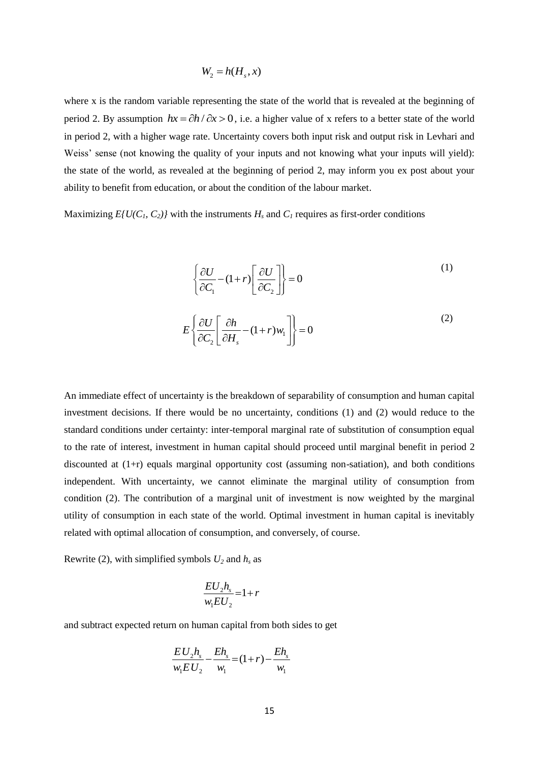$$
W_2 = h(H_s, x)
$$

where x is the random variable representing the state of the world that is revealed at the beginning of period 2. By assumption  $hx = \partial h / \partial x > 0$ , i.e. a higher value of x refers to a better state of the world in period 2, with a higher wage rate. Uncertainty covers both input risk and output risk in Levhari and Weiss' sense (not knowing the quality of your inputs and not knowing what your inputs will yield): the state of the world, as revealed at the beginning of period 2, may inform you ex post about your ability to benefit from education, or about the condition of the labour market.

Maximizing  $E\{U(C_i, C_2)\}\$  with the instruments  $H_s$  and  $C_l$  requires as first-order conditions

$$
\left\{\frac{\partial U}{\partial C_1} - (1+r)\left[\frac{\partial U}{\partial C_2}\right]\right\} = 0
$$
\n(1)

$$
E\left\{\frac{\partial U}{\partial C_2} \left[ \frac{\partial h}{\partial H_s} - (1+r)w_1 \right] \right\} = 0
$$
\n(2)

An immediate effect of uncertainty is the breakdown of separability of consumption and human capital investment decisions. If there would be no uncertainty, conditions (1) and (2) would reduce to the standard conditions under certainty: inter-temporal marginal rate of substitution of consumption equal to the rate of interest, investment in human capital should proceed until marginal benefit in period 2 discounted at  $(1+r)$  equals marginal opportunity cost (assuming non-satiation), and both conditions independent. With uncertainty, we cannot eliminate the marginal utility of consumption from condition (2). The contribution of a marginal unit of investment is now weighted by the marginal utility of consumption in each state of the world. Optimal investment in human capital is inevitably related with optimal allocation of consumption, and conversely, of course.

Rewrite (2), with simplified symbols  $U_2$  and  $h_s$  as

$$
\frac{EU_2h_s}{w_1EU_2} = 1 + r
$$

and subtract expected return on human capital from both sides to get

$$
\frac{E U_2 h_s}{w_1 E U_2} - \frac{E h_s}{w_1} = (1+r) - \frac{E h_s}{w_1}
$$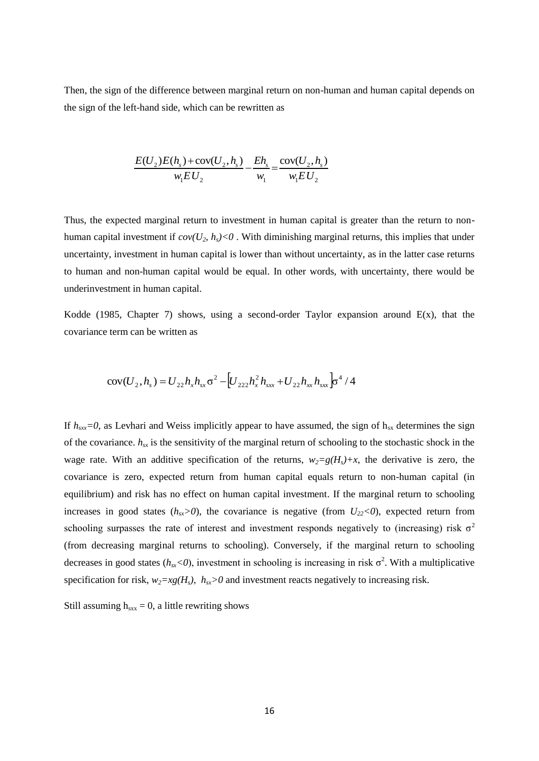Then, the sign of the difference between marginal return on non-human and human capital depends on the sign of the left-hand side, which can be rewritten as

$$
\frac{E(U_2)E(h_s) + \text{cov}(U_2, h_s)}{w_1 E U_2} - \frac{E h_s}{w_1} = \frac{\text{cov}(U_2, h_s)}{w_1 E U_2}
$$

Thus, the expected marginal return to investment in human capital is greater than the return to nonhuman capital investment if  $cov(U_2, h_s) < 0$ . With diminishing marginal returns, this implies that under uncertainty, investment in human capital is lower than without uncertainty, as in the latter case returns to human and non-human capital would be equal. In other words, with uncertainty, there would be underinvestment in human capital.

Kodde (1985, Chapter 7) shows, using a second-order Taylor expansion around  $E(x)$ , that the covariance term can be written as

$$
cov(U_2,h_s) = U_{22}h_xh_{sx}\sigma^2 - \left[U_{222}h_x^2h_{sx} + U_{22}h_{xx}h_{sx}\right]\sigma^4/4
$$

If  $h_{\text{xxx}}=0$ , as Levhari and Weiss implicitly appear to have assumed, the sign of  $h_{\text{xx}}$  determines the sign of the covariance. *hsx* is the sensitivity of the marginal return of schooling to the stochastic shock in the wage rate. With an additive specification of the returns,  $w_2 = g(H_2) + x$ , the derivative is zero, the covariance is zero, expected return from human capital equals return to non-human capital (in equilibrium) and risk has no effect on human capital investment. If the marginal return to schooling increases in good states  $(h_{xx}>0)$ , the covariance is negative (from  $U_{22}<0$ ), expected return from schooling surpasses the rate of interest and investment responds negatively to (increasing) risk  $\sigma^2$ (from decreasing marginal returns to schooling). Conversely, if the marginal return to schooling decreases in good states  $(h_{sx}<0)$ , investment in schooling is increasing in risk  $\sigma^2$ . With a multiplicative specification for risk,  $w_2 = xg(H_s)$ ,  $h_{ss} > 0$  and investment reacts negatively to increasing risk.

Still assuming  $h_{sxx} = 0$ , a little rewriting shows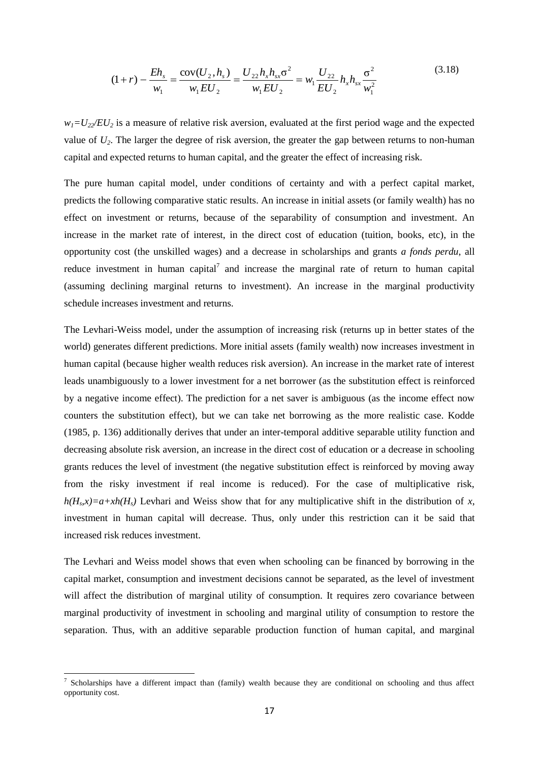$$
(1+r) - \frac{Eh_s}{w_1} = \frac{\text{cov}(U_2, h_s)}{w_1 EU_2} = \frac{U_{22}h_s h_{sx} \sigma^2}{w_1 EU_2} = w_1 \frac{U_{22}}{EU_2} h_s h_{sx} \frac{\sigma^2}{w_1^2}
$$
(3.18)

 $w_1 = U_{22}/EU_2$  is a measure of relative risk aversion, evaluated at the first period wage and the expected value of  $U_2$ . The larger the degree of risk aversion, the greater the gap between returns to non-human capital and expected returns to human capital, and the greater the effect of increasing risk.

The pure human capital model, under conditions of certainty and with a perfect capital market, predicts the following comparative static results. An increase in initial assets (or family wealth) has no effect on investment or returns, because of the separability of consumption and investment. An increase in the market rate of interest, in the direct cost of education (tuition, books, etc), in the opportunity cost (the unskilled wages) and a decrease in scholarships and grants *a fonds perdu*, all reduce investment in human capital<sup>7</sup> and increase the marginal rate of return to human capital (assuming declining marginal returns to investment). An increase in the marginal productivity schedule increases investment and returns.

The Levhari-Weiss model, under the assumption of increasing risk (returns up in better states of the world) generates different predictions. More initial assets (family wealth) now increases investment in human capital (because higher wealth reduces risk aversion). An increase in the market rate of interest leads unambiguously to a lower investment for a net borrower (as the substitution effect is reinforced by a negative income effect). The prediction for a net saver is ambiguous (as the income effect now counters the substitution effect), but we can take net borrowing as the more realistic case. Kodde (1985, p. 136) additionally derives that under an inter-temporal additive separable utility function and decreasing absolute risk aversion, an increase in the direct cost of education or a decrease in schooling grants reduces the level of investment (the negative substitution effect is reinforced by moving away from the risky investment if real income is reduced). For the case of multiplicative risk,  $h(H_s, x) = a + xh(H_s)$  Levhari and Weiss show that for any multiplicative shift in the distribution of *x*, investment in human capital will decrease. Thus, only under this restriction can it be said that increased risk reduces investment.

The Levhari and Weiss model shows that even when schooling can be financed by borrowing in the capital market, consumption and investment decisions cannot be separated, as the level of investment will affect the distribution of marginal utility of consumption. It requires zero covariance between marginal productivity of investment in schooling and marginal utility of consumption to restore the separation. Thus, with an additive separable production function of human capital, and marginal

1

<sup>&</sup>lt;sup>7</sup> Scholarships have a different impact than (family) wealth because they are conditional on schooling and thus affect opportunity cost.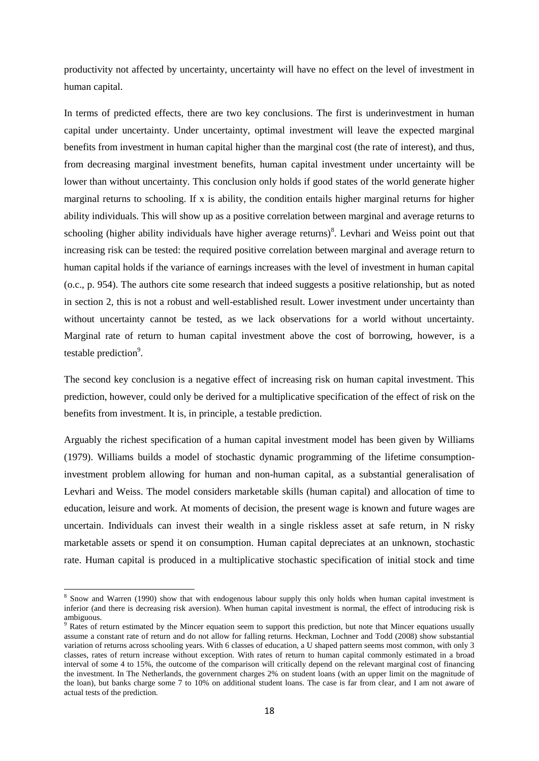productivity not affected by uncertainty, uncertainty will have no effect on the level of investment in human capital.

In terms of predicted effects, there are two key conclusions. The first is underinvestment in human capital under uncertainty. Under uncertainty, optimal investment will leave the expected marginal benefits from investment in human capital higher than the marginal cost (the rate of interest), and thus, from decreasing marginal investment benefits, human capital investment under uncertainty will be lower than without uncertainty. This conclusion only holds if good states of the world generate higher marginal returns to schooling. If x is ability, the condition entails higher marginal returns for higher ability individuals. This will show up as a positive correlation between marginal and average returns to schooling (higher ability individuals have higher average returns)<sup>8</sup>. Levhari and Weiss point out that increasing risk can be tested: the required positive correlation between marginal and average return to human capital holds if the variance of earnings increases with the level of investment in human capital (o.c., p. 954). The authors cite some research that indeed suggests a positive relationship, but as noted in section 2, this is not a robust and well-established result. Lower investment under uncertainty than without uncertainty cannot be tested, as we lack observations for a world without uncertainty. Marginal rate of return to human capital investment above the cost of borrowing, however, is a testable prediction<sup>9</sup>.

The second key conclusion is a negative effect of increasing risk on human capital investment. This prediction, however, could only be derived for a multiplicative specification of the effect of risk on the benefits from investment. It is, in principle, a testable prediction.

Arguably the richest specification of a human capital investment model has been given by Williams (1979). Williams builds a model of stochastic dynamic programming of the lifetime consumptioninvestment problem allowing for human and non-human capital, as a substantial generalisation of Levhari and Weiss. The model considers marketable skills (human capital) and allocation of time to education, leisure and work. At moments of decision, the present wage is known and future wages are uncertain. Individuals can invest their wealth in a single riskless asset at safe return, in N risky marketable assets or spend it on consumption. Human capital depreciates at an unknown, stochastic rate. Human capital is produced in a multiplicative stochastic specification of initial stock and time

**.** 

<sup>&</sup>lt;sup>8</sup> Snow and Warren (1990) show that with endogenous labour supply this only holds when human capital investment is inferior (and there is decreasing risk aversion). When human capital investment is normal, the effect of introducing risk is ambiguous.

<sup>&</sup>lt;sup>9</sup> Rates of return estimated by the Mincer equation seem to support this prediction, but note that Mincer equations usually assume a constant rate of return and do not allow for falling returns. Heckman, Lochner and Todd (2008) show substantial variation of returns across schooling years. With 6 classes of education, a U shaped pattern seems most common, with only 3 classes, rates of return increase without exception. With rates of return to human capital commonly estimated in a broad interval of some 4 to 15%, the outcome of the comparison will critically depend on the relevant marginal cost of financing the investment. In The Netherlands, the government charges 2% on student loans (with an upper limit on the magnitude of the loan), but banks charge some 7 to 10% on additional student loans. The case is far from clear, and I am not aware of actual tests of the prediction.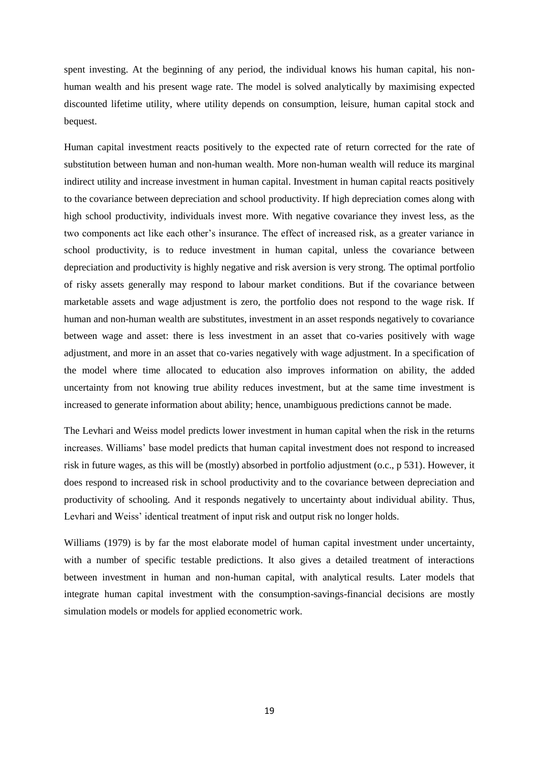spent investing. At the beginning of any period, the individual knows his human capital, his nonhuman wealth and his present wage rate. The model is solved analytically by maximising expected discounted lifetime utility, where utility depends on consumption, leisure, human capital stock and bequest.

Human capital investment reacts positively to the expected rate of return corrected for the rate of substitution between human and non-human wealth. More non-human wealth will reduce its marginal indirect utility and increase investment in human capital. Investment in human capital reacts positively to the covariance between depreciation and school productivity. If high depreciation comes along with high school productivity, individuals invest more. With negative covariance they invest less, as the two components act like each other's insurance. The effect of increased risk, as a greater variance in school productivity, is to reduce investment in human capital, unless the covariance between depreciation and productivity is highly negative and risk aversion is very strong. The optimal portfolio of risky assets generally may respond to labour market conditions. But if the covariance between marketable assets and wage adjustment is zero, the portfolio does not respond to the wage risk. If human and non-human wealth are substitutes, investment in an asset responds negatively to covariance between wage and asset: there is less investment in an asset that co-varies positively with wage adjustment, and more in an asset that co-varies negatively with wage adjustment. In a specification of the model where time allocated to education also improves information on ability, the added uncertainty from not knowing true ability reduces investment, but at the same time investment is increased to generate information about ability; hence, unambiguous predictions cannot be made.

The Levhari and Weiss model predicts lower investment in human capital when the risk in the returns increases. Williams' base model predicts that human capital investment does not respond to increased risk in future wages, as this will be (mostly) absorbed in portfolio adjustment (o.c., p 531). However, it does respond to increased risk in school productivity and to the covariance between depreciation and productivity of schooling. And it responds negatively to uncertainty about individual ability. Thus, Levhari and Weiss' identical treatment of input risk and output risk no longer holds.

Williams (1979) is by far the most elaborate model of human capital investment under uncertainty, with a number of specific testable predictions. It also gives a detailed treatment of interactions between investment in human and non-human capital, with analytical results. Later models that integrate human capital investment with the consumption-savings-financial decisions are mostly simulation models or models for applied econometric work.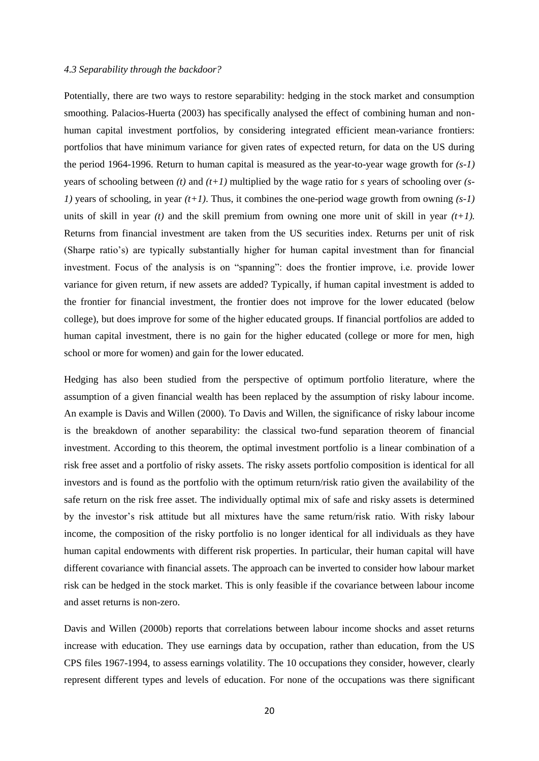#### *4.3 Separability through the backdoor?*

Potentially, there are two ways to restore separability: hedging in the stock market and consumption smoothing. Palacios-Huerta (2003) has specifically analysed the effect of combining human and nonhuman capital investment portfolios, by considering integrated efficient mean-variance frontiers: portfolios that have minimum variance for given rates of expected return, for data on the US during the period 1964-1996. Return to human capital is measured as the year-to-year wage growth for *(s-1)* years of schooling between *(t)* and *(t+1)* multiplied by the wage ratio for *s* years of schooling over *(s-1)* years of schooling, in year *(t+1)*. Thus, it combines the one-period wage growth from owning *(s-1)* units of skill in year  $(t)$  and the skill premium from owning one more unit of skill in year  $(t+1)$ . Returns from financial investment are taken from the US securities index. Returns per unit of risk (Sharpe ratio's) are typically substantially higher for human capital investment than for financial investment. Focus of the analysis is on "spanning": does the frontier improve, i.e. provide lower variance for given return, if new assets are added? Typically, if human capital investment is added to the frontier for financial investment, the frontier does not improve for the lower educated (below college), but does improve for some of the higher educated groups. If financial portfolios are added to human capital investment, there is no gain for the higher educated (college or more for men, high school or more for women) and gain for the lower educated.

Hedging has also been studied from the perspective of optimum portfolio literature, where the assumption of a given financial wealth has been replaced by the assumption of risky labour income. An example is Davis and Willen (2000). To Davis and Willen, the significance of risky labour income is the breakdown of another separability: the classical two-fund separation theorem of financial investment. According to this theorem, the optimal investment portfolio is a linear combination of a risk free asset and a portfolio of risky assets. The risky assets portfolio composition is identical for all investors and is found as the portfolio with the optimum return/risk ratio given the availability of the safe return on the risk free asset. The individually optimal mix of safe and risky assets is determined by the investor's risk attitude but all mixtures have the same return/risk ratio. With risky labour income, the composition of the risky portfolio is no longer identical for all individuals as they have human capital endowments with different risk properties. In particular, their human capital will have different covariance with financial assets. The approach can be inverted to consider how labour market risk can be hedged in the stock market. This is only feasible if the covariance between labour income and asset returns is non-zero.

Davis and Willen (2000b) reports that correlations between labour income shocks and asset returns increase with education. They use earnings data by occupation, rather than education, from the US CPS files 1967-1994, to assess earnings volatility. The 10 occupations they consider, however, clearly represent different types and levels of education. For none of the occupations was there significant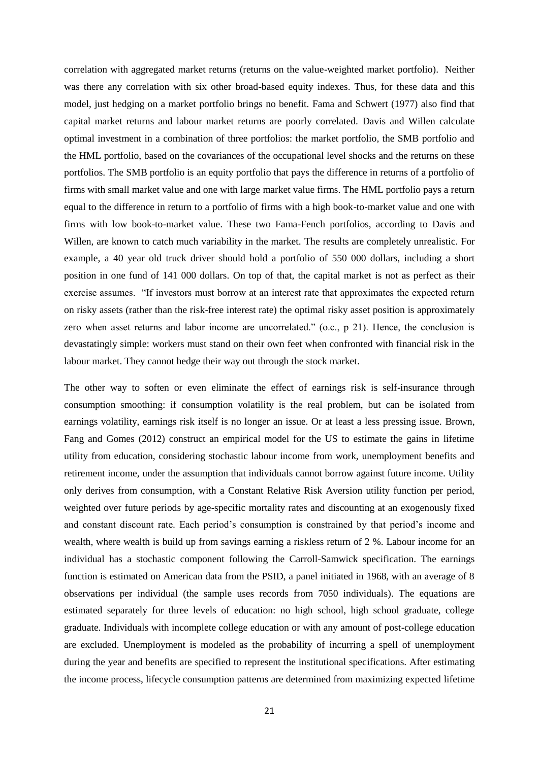correlation with aggregated market returns (returns on the value-weighted market portfolio). Neither was there any correlation with six other broad-based equity indexes. Thus, for these data and this model, just hedging on a market portfolio brings no benefit. Fama and Schwert (1977) also find that capital market returns and labour market returns are poorly correlated. Davis and Willen calculate optimal investment in a combination of three portfolios: the market portfolio, the SMB portfolio and the HML portfolio, based on the covariances of the occupational level shocks and the returns on these portfolios. The SMB portfolio is an equity portfolio that pays the difference in returns of a portfolio of firms with small market value and one with large market value firms. The HML portfolio pays a return equal to the difference in return to a portfolio of firms with a high book-to-market value and one with firms with low book-to-market value. These two Fama-Fench portfolios, according to Davis and Willen, are known to catch much variability in the market. The results are completely unrealistic. For example, a 40 year old truck driver should hold a portfolio of 550 000 dollars, including a short position in one fund of 141 000 dollars. On top of that, the capital market is not as perfect as their exercise assumes. "If investors must borrow at an interest rate that approximates the expected return on risky assets (rather than the risk-free interest rate) the optimal risky asset position is approximately zero when asset returns and labor income are uncorrelated." (o.c., p 21). Hence, the conclusion is devastatingly simple: workers must stand on their own feet when confronted with financial risk in the labour market. They cannot hedge their way out through the stock market.

The other way to soften or even eliminate the effect of earnings risk is self-insurance through consumption smoothing: if consumption volatility is the real problem, but can be isolated from earnings volatility, earnings risk itself is no longer an issue. Or at least a less pressing issue. Brown, Fang and Gomes (2012) construct an empirical model for the US to estimate the gains in lifetime utility from education, considering stochastic labour income from work, unemployment benefits and retirement income, under the assumption that individuals cannot borrow against future income. Utility only derives from consumption, with a Constant Relative Risk Aversion utility function per period, weighted over future periods by age-specific mortality rates and discounting at an exogenously fixed and constant discount rate. Each period's consumption is constrained by that period's income and wealth, where wealth is build up from savings earning a riskless return of 2 %. Labour income for an individual has a stochastic component following the Carroll-Samwick specification. The earnings function is estimated on American data from the PSID, a panel initiated in 1968, with an average of 8 observations per individual (the sample uses records from 7050 individuals). The equations are estimated separately for three levels of education: no high school, high school graduate, college graduate. Individuals with incomplete college education or with any amount of post-college education are excluded. Unemployment is modeled as the probability of incurring a spell of unemployment during the year and benefits are specified to represent the institutional specifications. After estimating the income process, lifecycle consumption patterns are determined from maximizing expected lifetime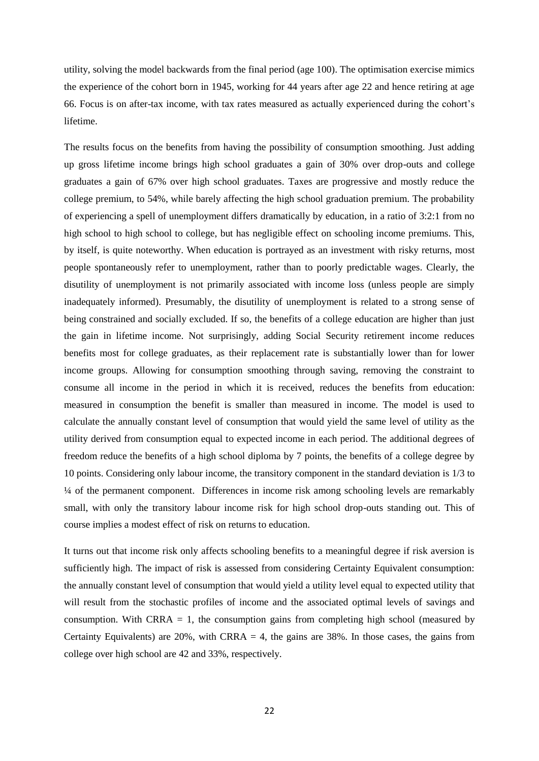utility, solving the model backwards from the final period (age 100). The optimisation exercise mimics the experience of the cohort born in 1945, working for 44 years after age 22 and hence retiring at age 66. Focus is on after-tax income, with tax rates measured as actually experienced during the cohort's lifetime.

The results focus on the benefits from having the possibility of consumption smoothing. Just adding up gross lifetime income brings high school graduates a gain of 30% over drop-outs and college graduates a gain of 67% over high school graduates. Taxes are progressive and mostly reduce the college premium, to 54%, while barely affecting the high school graduation premium. The probability of experiencing a spell of unemployment differs dramatically by education, in a ratio of 3:2:1 from no high school to high school to college, but has negligible effect on schooling income premiums. This, by itself, is quite noteworthy. When education is portrayed as an investment with risky returns, most people spontaneously refer to unemployment, rather than to poorly predictable wages. Clearly, the disutility of unemployment is not primarily associated with income loss (unless people are simply inadequately informed). Presumably, the disutility of unemployment is related to a strong sense of being constrained and socially excluded. If so, the benefits of a college education are higher than just the gain in lifetime income. Not surprisingly, adding Social Security retirement income reduces benefits most for college graduates, as their replacement rate is substantially lower than for lower income groups. Allowing for consumption smoothing through saving, removing the constraint to consume all income in the period in which it is received, reduces the benefits from education: measured in consumption the benefit is smaller than measured in income. The model is used to calculate the annually constant level of consumption that would yield the same level of utility as the utility derived from consumption equal to expected income in each period. The additional degrees of freedom reduce the benefits of a high school diploma by 7 points, the benefits of a college degree by 10 points. Considering only labour income, the transitory component in the standard deviation is 1/3 to ¼ of the permanent component. Differences in income risk among schooling levels are remarkably small, with only the transitory labour income risk for high school drop-outs standing out. This of course implies a modest effect of risk on returns to education.

It turns out that income risk only affects schooling benefits to a meaningful degree if risk aversion is sufficiently high. The impact of risk is assessed from considering Certainty Equivalent consumption: the annually constant level of consumption that would yield a utility level equal to expected utility that will result from the stochastic profiles of income and the associated optimal levels of savings and consumption. With CRRA  $= 1$ , the consumption gains from completing high school (measured by Certainty Equivalents) are  $20\%$ , with CRRA = 4, the gains are 38%. In those cases, the gains from college over high school are 42 and 33%, respectively.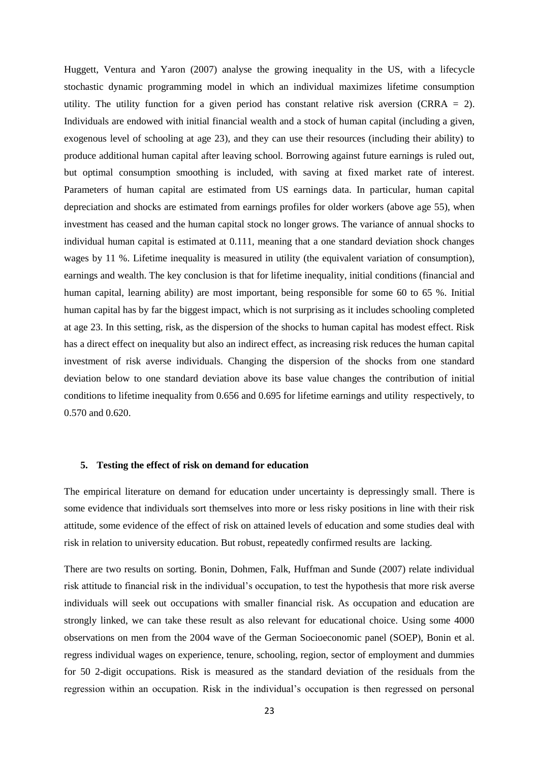Huggett, Ventura and Yaron (2007) analyse the growing inequality in the US, with a lifecycle stochastic dynamic programming model in which an individual maximizes lifetime consumption utility. The utility function for a given period has constant relative risk aversion (CRRA  $= 2$ ). Individuals are endowed with initial financial wealth and a stock of human capital (including a given, exogenous level of schooling at age 23), and they can use their resources (including their ability) to produce additional human capital after leaving school. Borrowing against future earnings is ruled out, but optimal consumption smoothing is included, with saving at fixed market rate of interest. Parameters of human capital are estimated from US earnings data. In particular, human capital depreciation and shocks are estimated from earnings profiles for older workers (above age 55), when investment has ceased and the human capital stock no longer grows. The variance of annual shocks to individual human capital is estimated at 0.111, meaning that a one standard deviation shock changes wages by 11 %. Lifetime inequality is measured in utility (the equivalent variation of consumption), earnings and wealth. The key conclusion is that for lifetime inequality, initial conditions (financial and human capital, learning ability) are most important, being responsible for some 60 to 65 %. Initial human capital has by far the biggest impact, which is not surprising as it includes schooling completed at age 23. In this setting, risk, as the dispersion of the shocks to human capital has modest effect. Risk has a direct effect on inequality but also an indirect effect, as increasing risk reduces the human capital investment of risk averse individuals. Changing the dispersion of the shocks from one standard deviation below to one standard deviation above its base value changes the contribution of initial conditions to lifetime inequality from 0.656 and 0.695 for lifetime earnings and utility respectively, to 0.570 and 0.620.

#### **5. Testing the effect of risk on demand for education**

The empirical literature on demand for education under uncertainty is depressingly small. There is some evidence that individuals sort themselves into more or less risky positions in line with their risk attitude, some evidence of the effect of risk on attained levels of education and some studies deal with risk in relation to university education. But robust, repeatedly confirmed results are lacking.

There are two results on sorting. Bonin, Dohmen, Falk, Huffman and Sunde (2007) relate individual risk attitude to financial risk in the individual's occupation, to test the hypothesis that more risk averse individuals will seek out occupations with smaller financial risk. As occupation and education are strongly linked, we can take these result as also relevant for educational choice. Using some 4000 observations on men from the 2004 wave of the German Socioeconomic panel (SOEP), Bonin et al. regress individual wages on experience, tenure, schooling, region, sector of employment and dummies for 50 2-digit occupations. Risk is measured as the standard deviation of the residuals from the regression within an occupation. Risk in the individual's occupation is then regressed on personal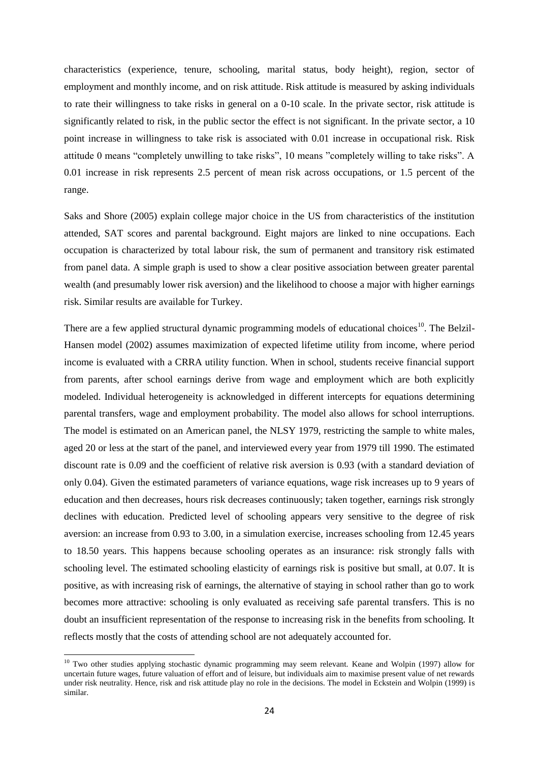characteristics (experience, tenure, schooling, marital status, body height), region, sector of employment and monthly income, and on risk attitude. Risk attitude is measured by asking individuals to rate their willingness to take risks in general on a 0-10 scale. In the private sector, risk attitude is significantly related to risk, in the public sector the effect is not significant. In the private sector, a 10 point increase in willingness to take risk is associated with 0.01 increase in occupational risk. Risk attitude 0 means "completely unwilling to take risks", 10 means "completely willing to take risks". A 0.01 increase in risk represents 2.5 percent of mean risk across occupations, or 1.5 percent of the range.

Saks and Shore (2005) explain college major choice in the US from characteristics of the institution attended, SAT scores and parental background. Eight majors are linked to nine occupations. Each occupation is characterized by total labour risk, the sum of permanent and transitory risk estimated from panel data. A simple graph is used to show a clear positive association between greater parental wealth (and presumably lower risk aversion) and the likelihood to choose a major with higher earnings risk. Similar results are available for Turkey.

There are a few applied structural dynamic programming models of educational choices<sup>10</sup>. The Belzil-Hansen model (2002) assumes maximization of expected lifetime utility from income, where period income is evaluated with a CRRA utility function. When in school, students receive financial support from parents, after school earnings derive from wage and employment which are both explicitly modeled. Individual heterogeneity is acknowledged in different intercepts for equations determining parental transfers, wage and employment probability. The model also allows for school interruptions. The model is estimated on an American panel, the NLSY 1979, restricting the sample to white males, aged 20 or less at the start of the panel, and interviewed every year from 1979 till 1990. The estimated discount rate is 0.09 and the coefficient of relative risk aversion is 0.93 (with a standard deviation of only 0.04). Given the estimated parameters of variance equations, wage risk increases up to 9 years of education and then decreases, hours risk decreases continuously; taken together, earnings risk strongly declines with education. Predicted level of schooling appears very sensitive to the degree of risk aversion: an increase from 0.93 to 3.00, in a simulation exercise, increases schooling from 12.45 years to 18.50 years. This happens because schooling operates as an insurance: risk strongly falls with schooling level. The estimated schooling elasticity of earnings risk is positive but small, at 0.07. It is positive, as with increasing risk of earnings, the alternative of staying in school rather than go to work becomes more attractive: schooling is only evaluated as receiving safe parental transfers. This is no doubt an insufficient representation of the response to increasing risk in the benefits from schooling. It reflects mostly that the costs of attending school are not adequately accounted for.

1

<sup>&</sup>lt;sup>10</sup> Two other studies applying stochastic dynamic programming may seem relevant. Keane and Wolpin (1997) allow for uncertain future wages, future valuation of effort and of leisure, but individuals aim to maximise present value of net rewards under risk neutrality. Hence, risk and risk attitude play no role in the decisions. The model in Eckstein and Wolpin (1999) is similar.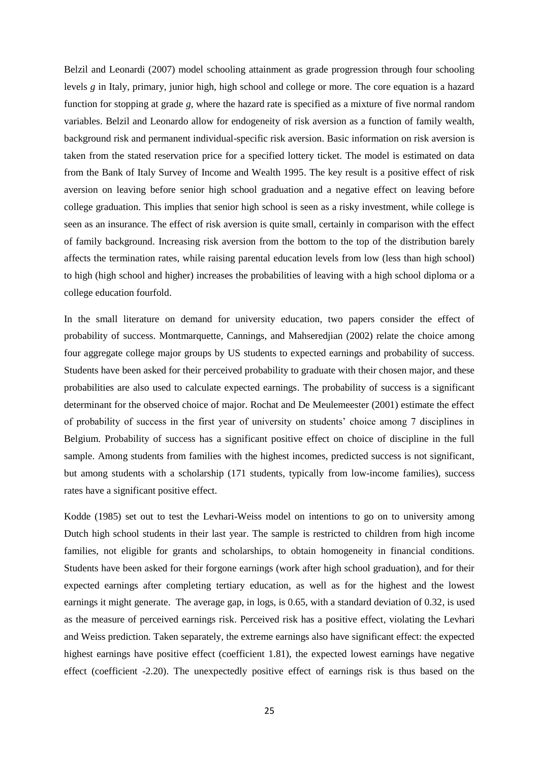Belzil and Leonardi (2007) model schooling attainment as grade progression through four schooling levels *g* in Italy, primary, junior high, high school and college or more. The core equation is a hazard function for stopping at grade *g*, where the hazard rate is specified as a mixture of five normal random variables. Belzil and Leonardo allow for endogeneity of risk aversion as a function of family wealth, background risk and permanent individual-specific risk aversion. Basic information on risk aversion is taken from the stated reservation price for a specified lottery ticket. The model is estimated on data from the Bank of Italy Survey of Income and Wealth 1995. The key result is a positive effect of risk aversion on leaving before senior high school graduation and a negative effect on leaving before college graduation. This implies that senior high school is seen as a risky investment, while college is seen as an insurance. The effect of risk aversion is quite small, certainly in comparison with the effect of family background. Increasing risk aversion from the bottom to the top of the distribution barely affects the termination rates, while raising parental education levels from low (less than high school) to high (high school and higher) increases the probabilities of leaving with a high school diploma or a college education fourfold.

In the small literature on demand for university education, two papers consider the effect of probability of success. Montmarquette, Cannings, and Mahseredjian (2002) relate the choice among four aggregate college major groups by US students to expected earnings and probability of success. Students have been asked for their perceived probability to graduate with their chosen major, and these probabilities are also used to calculate expected earnings. The probability of success is a significant determinant for the observed choice of major. Rochat and De Meulemeester (2001) estimate the effect of probability of success in the first year of university on students' choice among 7 disciplines in Belgium. Probability of success has a significant positive effect on choice of discipline in the full sample. Among students from families with the highest incomes, predicted success is not significant, but among students with a scholarship (171 students, typically from low-income families), success rates have a significant positive effect.

Kodde (1985) set out to test the Levhari-Weiss model on intentions to go on to university among Dutch high school students in their last year. The sample is restricted to children from high income families, not eligible for grants and scholarships, to obtain homogeneity in financial conditions. Students have been asked for their forgone earnings (work after high school graduation), and for their expected earnings after completing tertiary education, as well as for the highest and the lowest earnings it might generate. The average gap, in logs, is 0.65, with a standard deviation of 0.32, is used as the measure of perceived earnings risk. Perceived risk has a positive effect, violating the Levhari and Weiss prediction. Taken separately, the extreme earnings also have significant effect: the expected highest earnings have positive effect (coefficient 1.81), the expected lowest earnings have negative effect (coefficient -2.20). The unexpectedly positive effect of earnings risk is thus based on the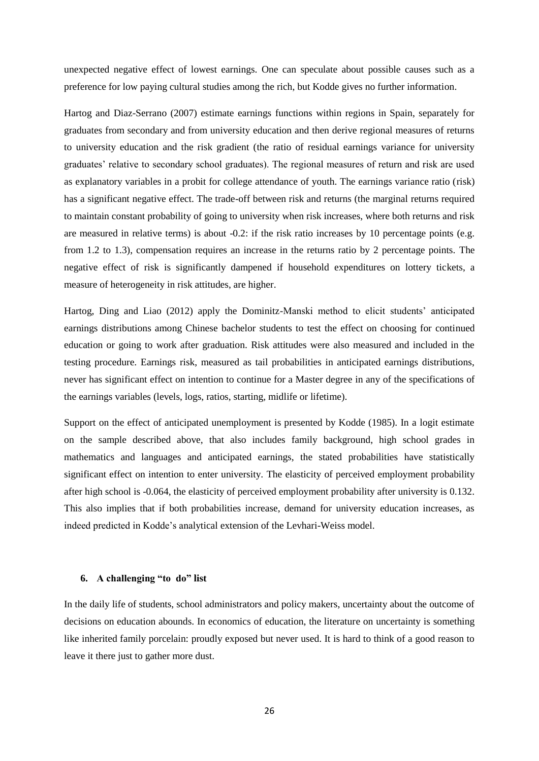unexpected negative effect of lowest earnings. One can speculate about possible causes such as a preference for low paying cultural studies among the rich, but Kodde gives no further information.

Hartog and Diaz-Serrano (2007) estimate earnings functions within regions in Spain, separately for graduates from secondary and from university education and then derive regional measures of returns to university education and the risk gradient (the ratio of residual earnings variance for university graduates' relative to secondary school graduates). The regional measures of return and risk are used as explanatory variables in a probit for college attendance of youth. The earnings variance ratio (risk) has a significant negative effect. The trade-off between risk and returns (the marginal returns required to maintain constant probability of going to university when risk increases, where both returns and risk are measured in relative terms) is about -0.2: if the risk ratio increases by 10 percentage points (e.g. from 1.2 to 1.3), compensation requires an increase in the returns ratio by 2 percentage points. The negative effect of risk is significantly dampened if household expenditures on lottery tickets, a measure of heterogeneity in risk attitudes, are higher.

Hartog, Ding and Liao (2012) apply the Dominitz-Manski method to elicit students' anticipated earnings distributions among Chinese bachelor students to test the effect on choosing for continued education or going to work after graduation. Risk attitudes were also measured and included in the testing procedure. Earnings risk, measured as tail probabilities in anticipated earnings distributions, never has significant effect on intention to continue for a Master degree in any of the specifications of the earnings variables (levels, logs, ratios, starting, midlife or lifetime).

Support on the effect of anticipated unemployment is presented by Kodde (1985). In a logit estimate on the sample described above, that also includes family background, high school grades in mathematics and languages and anticipated earnings, the stated probabilities have statistically significant effect on intention to enter university. The elasticity of perceived employment probability after high school is -0.064, the elasticity of perceived employment probability after university is 0.132. This also implies that if both probabilities increase, demand for university education increases, as indeed predicted in Kodde's analytical extension of the Levhari-Weiss model.

#### **6. A challenging "to do" list**

In the daily life of students, school administrators and policy makers, uncertainty about the outcome of decisions on education abounds. In economics of education, the literature on uncertainty is something like inherited family porcelain: proudly exposed but never used. It is hard to think of a good reason to leave it there just to gather more dust.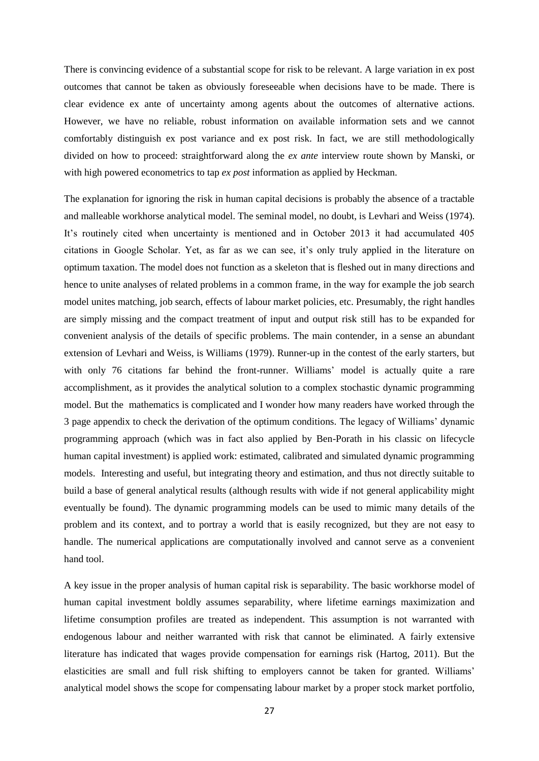There is convincing evidence of a substantial scope for risk to be relevant. A large variation in ex post outcomes that cannot be taken as obviously foreseeable when decisions have to be made. There is clear evidence ex ante of uncertainty among agents about the outcomes of alternative actions. However, we have no reliable, robust information on available information sets and we cannot comfortably distinguish ex post variance and ex post risk. In fact, we are still methodologically divided on how to proceed: straightforward along the *ex ante* interview route shown by Manski, or with high powered econometrics to tap *ex post* information as applied by Heckman.

The explanation for ignoring the risk in human capital decisions is probably the absence of a tractable and malleable workhorse analytical model. The seminal model, no doubt, is Levhari and Weiss (1974). It's routinely cited when uncertainty is mentioned and in October 2013 it had accumulated 405 citations in Google Scholar. Yet, as far as we can see, it's only truly applied in the literature on optimum taxation. The model does not function as a skeleton that is fleshed out in many directions and hence to unite analyses of related problems in a common frame, in the way for example the job search model unites matching, job search, effects of labour market policies, etc. Presumably, the right handles are simply missing and the compact treatment of input and output risk still has to be expanded for convenient analysis of the details of specific problems. The main contender, in a sense an abundant extension of Levhari and Weiss, is Williams (1979). Runner-up in the contest of the early starters, but with only 76 citations far behind the front-runner. Williams' model is actually quite a rare accomplishment, as it provides the analytical solution to a complex stochastic dynamic programming model. But the mathematics is complicated and I wonder how many readers have worked through the 3 page appendix to check the derivation of the optimum conditions. The legacy of Williams' dynamic programming approach (which was in fact also applied by Ben-Porath in his classic on lifecycle human capital investment) is applied work: estimated, calibrated and simulated dynamic programming models. Interesting and useful, but integrating theory and estimation, and thus not directly suitable to build a base of general analytical results (although results with wide if not general applicability might eventually be found). The dynamic programming models can be used to mimic many details of the problem and its context, and to portray a world that is easily recognized, but they are not easy to handle. The numerical applications are computationally involved and cannot serve as a convenient hand tool.

A key issue in the proper analysis of human capital risk is separability. The basic workhorse model of human capital investment boldly assumes separability, where lifetime earnings maximization and lifetime consumption profiles are treated as independent. This assumption is not warranted with endogenous labour and neither warranted with risk that cannot be eliminated. A fairly extensive literature has indicated that wages provide compensation for earnings risk (Hartog, 2011). But the elasticities are small and full risk shifting to employers cannot be taken for granted. Williams' analytical model shows the scope for compensating labour market by a proper stock market portfolio,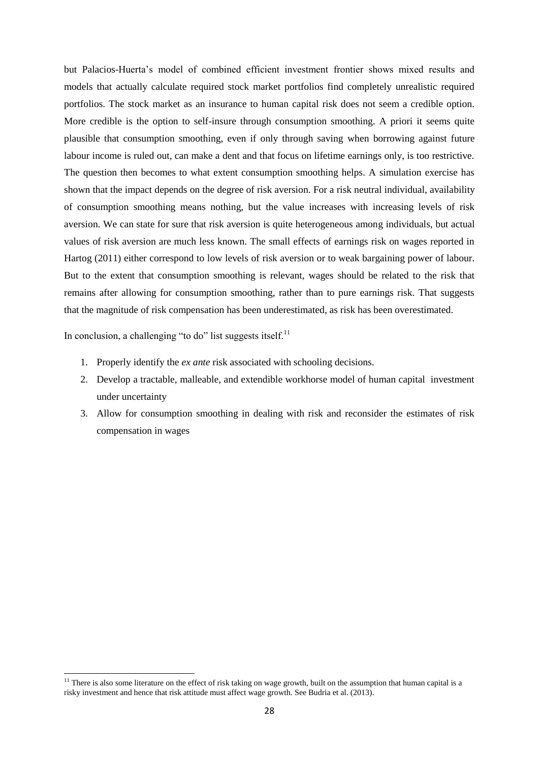but Palacios-Huerta's model of combined efficient investment frontier shows mixed results and models that actually calculate required stock market portfolios find completely unrealistic required portfolios. The stock market as an insurance to human capital risk does not seem a credible option. More credible is the option to self-insure through consumption smoothing. A priori it seems quite plausible that consumption smoothing, even if only through saving when borrowing against future labour income is ruled out, can make a dent and that focus on lifetime earnings only, is too restrictive. The question then becomes to what extent consumption smoothing helps. A simulation exercise has shown that the impact depends on the degree of risk aversion. For a risk neutral individual, availability of consumption smoothing means nothing, but the value increases with increasing levels of risk aversion. We can state for sure that risk aversion is quite heterogeneous among individuals, but actual values of risk aversion are much less known. The small effects of earnings risk on wages reported in Hartog (2011) either correspond to low levels of risk aversion or to weak bargaining power of labour. But to the extent that consumption smoothing is relevant, wages should be related to the risk that remains after allowing for consumption smoothing, rather than to pure earnings risk. That suggests that the magnitude of risk compensation has been underestimated, as risk has been overestimated.

In conclusion, a challenging "to do" list suggests itself. $11$ 

1

- 1. Properly identify the *ex ante* risk associated with schooling decisions.
- 2. Develop a tractable, malleable, and extendible workhorse model of human capital investment under uncertainty
- 3. Allow for consumption smoothing in dealing with risk and reconsider the estimates of risk compensation in wages

 $11$  There is also some literature on the effect of risk taking on wage growth, built on the assumption that human capital is a risky investment and hence that risk attitude must affect wage growth. See Budria et al. (2013).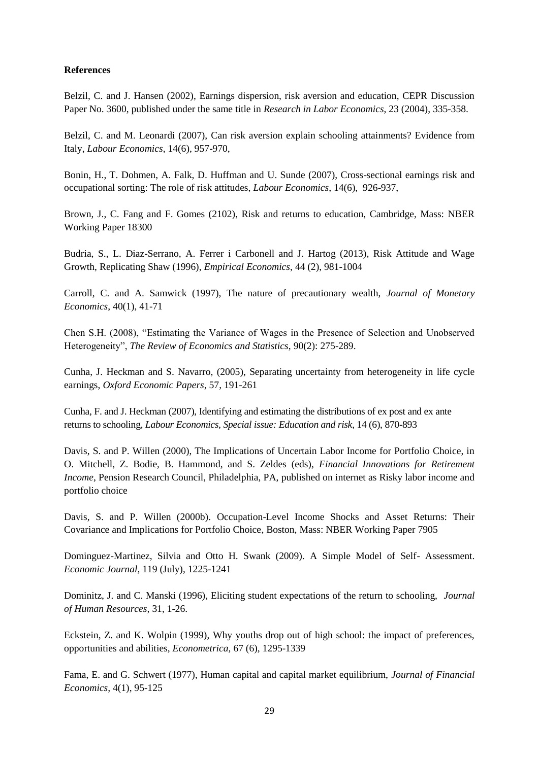#### **References**

Belzil, C. and J. Hansen (2002), Earnings dispersion, risk aversion and education, CEPR Discussion Paper No. 3600, published under the same title in *Research in Labor Economics*, 23 (2004), 335-358.

Belzil, C. and M. Leonardi (2007), Can risk aversion explain schooling attainments? Evidence from Italy, *Labour Economics*, 14(6), 957-970,

Bonin, H., T. Dohmen, A. Falk, D. Huffman and U. Sunde (2007), Cross-sectional earnings risk and occupational sorting: The role of risk attitudes, *Labour Economics*, 14(6), 926-937,

Brown, J., C. Fang and F. Gomes (2102), Risk and returns to education, Cambridge, Mass: NBER Working Paper 18300

Budria, S., L. Diaz-Serrano, A. Ferrer i Carbonell and J. Hartog (2013), Risk Attitude and Wage Growth, Replicating Shaw (1996), *Empirical Economics*, 44 (2), 981-1004

Carroll, C. and A. Samwick (1997), The nature of precautionary wealth, *Journal of Monetary Economics*, 40(1), 41-71

Chen S.H. (2008), "Estimating the Variance of Wages in the Presence of Selection and Unobserved Heterogeneity", *The Review of Economics and Statistics*, 90(2): 275-289.

Cunha, J. Heckman and S. Navarro, (2005), Separating uncertainty from heterogeneity in life cycle earnings, *Oxford Economic Papers*, 57, 191-261

Cunha, F. and J. Heckman (2007), Identifying and estimating the distributions of ex post and ex ante returns to schooling, *Labour Economics, Special issue: Education and risk*, 14 (6), 870-893

Davis, S. and P. Willen (2000), The Implications of Uncertain Labor Income for Portfolio Choice, in O. Mitchell, Z. Bodie, B. Hammond, and S. Zeldes (eds), *Financial Innovations for Retirement Income*, Pension Research Council, Philadelphia, PA, published on internet as Risky labor income and portfolio choice

Davis, S. and P. Willen (2000b). Occupation-Level Income Shocks and Asset Returns: Their Covariance and Implications for Portfolio Choice, Boston, Mass: NBER Working Paper 7905

Dominguez-Martinez, Silvia and Otto H. Swank (2009). A Simple Model of Self- Assessment. *Economic Journal*, 119 (July), 1225-1241

Dominitz, J. and C. Manski (1996), Eliciting student expectations of the return to schooling, *Journal of Human Resources,* 31, 1-26.

Eckstein, Z. and K. Wolpin (1999), Why youths drop out of high school: the impact of preferences, opportunities and abilities, *Econometrica,* 67 (6), 1295-1339

Fama, E. and G. Schwert (1977), Human capital and capital market equilibrium, *Journal of Financial Economics,* 4(1), 95-125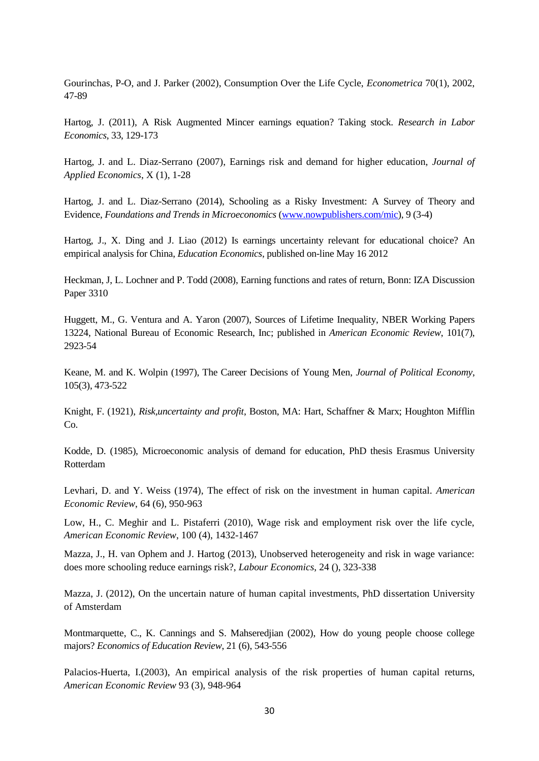Gourinchas, P-O, and J. Parker (2002), Consumption Over the Life Cycle, *Econometrica* 70(1), 2002, 47-89

Hartog, J. (2011), A Risk Augmented Mincer earnings equation? Taking stock. *Research in Labor Economics*, 33, 129-173

Hartog, J. and L. Diaz-Serrano (2007), Earnings risk and demand for higher education, *Journal of Applied Economics*, X (1), 1-28

Hartog, J. and L. Diaz-Serrano (2014), Schooling as a Risky Investment: A Survey of Theory and Evidence, *Foundations and Trends in Microeconomics* [\(www.nowpublishers.com/mic\)](http://www.nowpublishers.com/mic), 9 (3-4)

Hartog, J., X. Ding and J. Liao (2012) Is earnings uncertainty relevant for educational choice? An empirical analysis for China, *Education Economics*, published on-line May 16 2012

Heckman, J, L. Lochner and P. Todd (2008), Earning functions and rates of return, Bonn: IZA Discussion Paper 3310

Huggett, M., G. Ventura and A. Yaron (2007), Sources of Lifetime Inequality, NBER Working Papers 13224, National Bureau of Economic Research, Inc; published in *American Economic Review*, 101(7), 2923-54

Keane, M. and K. Wolpin (1997), The Career Decisions of Young Men, *Journal of Political Economy*, 105(3), 473-522

Knight, F. (1921), *Risk,uncertainty and profit*, Boston, MA: Hart, Schaffner & Marx; Houghton Mifflin Co.

Kodde, D. (1985), Microeconomic analysis of demand for education, PhD thesis Erasmus University Rotterdam

Levhari, D. and Y. Weiss (1974), The effect of risk on the investment in human capital. *American Economic Review*, 64 (6), 950-963

Low, H., C. Meghir and L. Pistaferri (2010), Wage risk and employment risk over the life cycle, *American Economic Review*, 100 (4), 1432-1467

Mazza, J., H. van Ophem and J. Hartog (2013), Unobserved heterogeneity and risk in wage variance: does more schooling reduce earnings risk?, *Labour Economics*, 24 (), 323-338

Mazza, J. (2012), On the uncertain nature of human capital investments, PhD dissertation University of Amsterdam

Montmarquette, C., K. Cannings and S. Mahseredjian (2002), How do young people choose college majors? *Economics of Education Review*, 21 (6), 543-556

Palacios-Huerta, I.(2003), An empirical analysis of the risk properties of human capital returns, *American Economic Review* 93 (3), 948-964